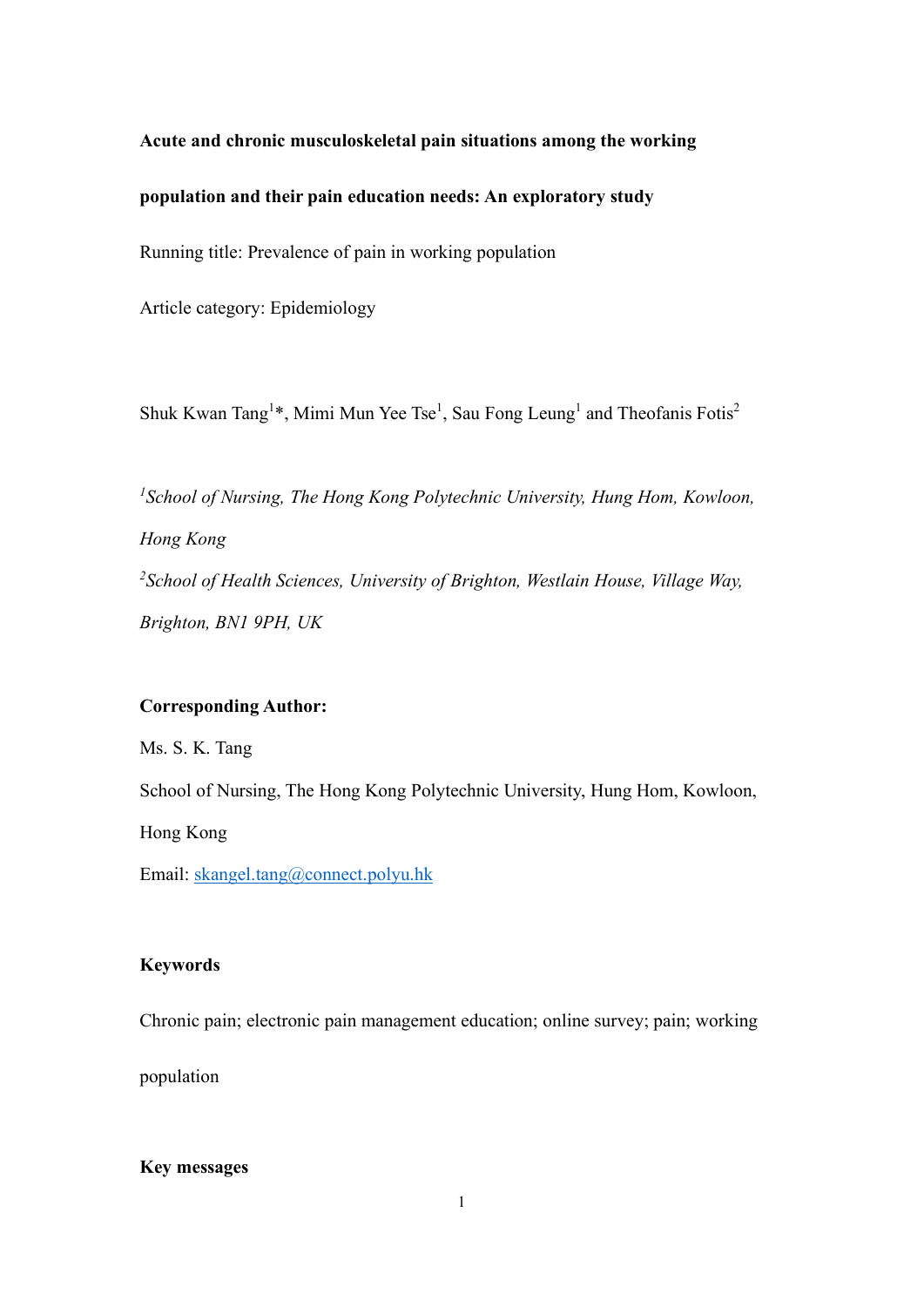**Acute and chronic musculoskeletal pain situations among the working** 

# **population and their pain education needs: An exploratory study**

Running title: Prevalence of pain in working population

Article category: Epidemiology

Shuk Kwan Tang<sup>1\*</sup>, Mimi Mun Yee Tse<sup>1</sup>, Sau Fong Leung<sup>1</sup> and Theofanis Fotis<sup>2</sup>

<sup>1</sup> School of Nursing, The Hong Kong Polytechnic University, Hung Hom, Kowloon, *Hong Kong 2 School of Health Sciences, University of Brighton, Westlain House, Village Way, Brighton, BN1 9PH, UK*

# **Corresponding Author:**

Ms. S. K. Tang

School of Nursing, The Hong Kong Polytechnic University, Hung Hom, Kowloon,

Hong Kong

Email: [skangel.tang@connect.polyu.hk](mailto:skangel.tang@connect.polyu.hk)

## **Keywords**

Chronic pain; electronic pain management education; online survey; pain; working

population

# **Key messages**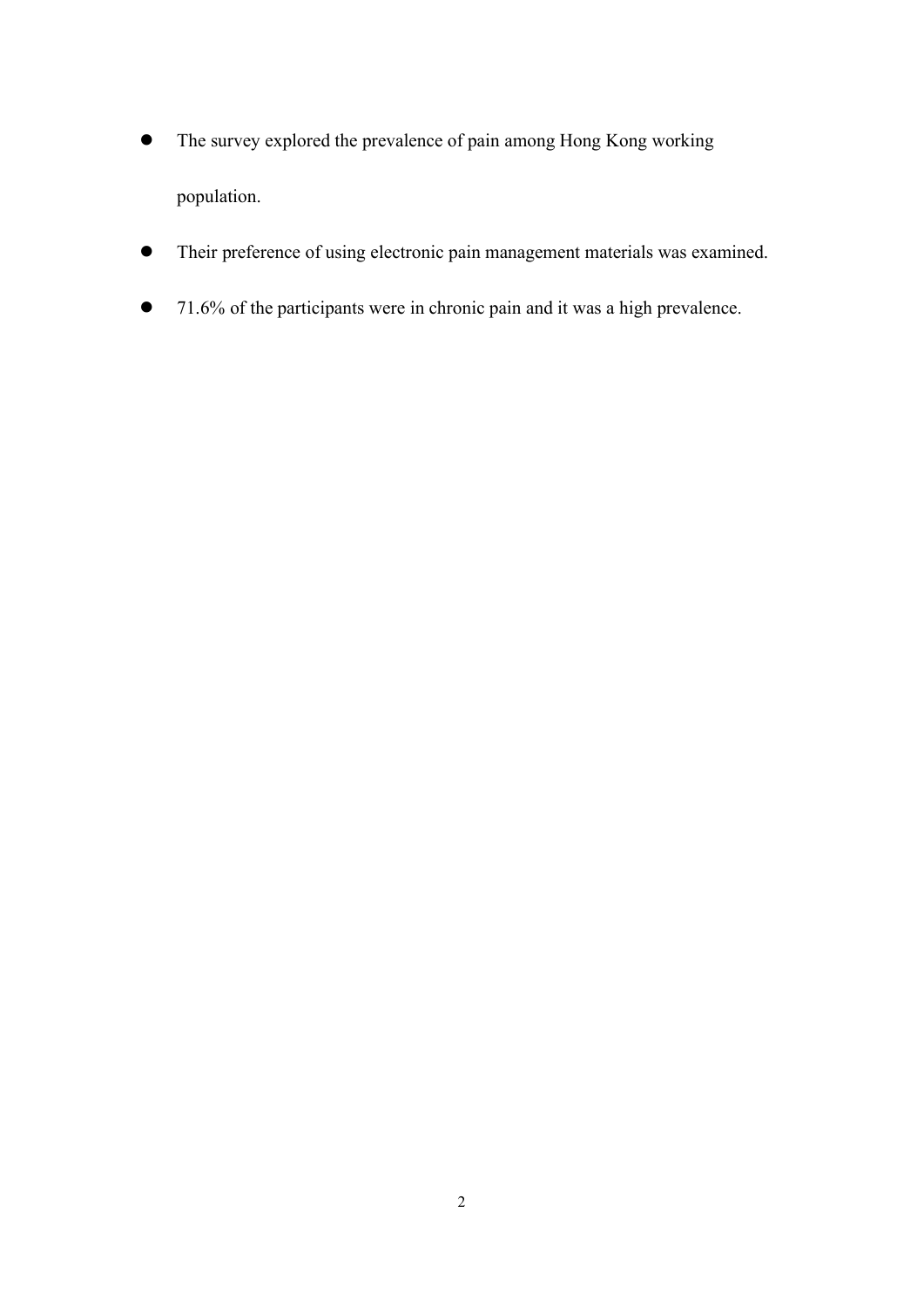- The survey explored the prevalence of pain among Hong Kong working population.
- Their preference of using electronic pain management materials was examined.
- 71.6% of the participants were in chronic pain and it was a high prevalence.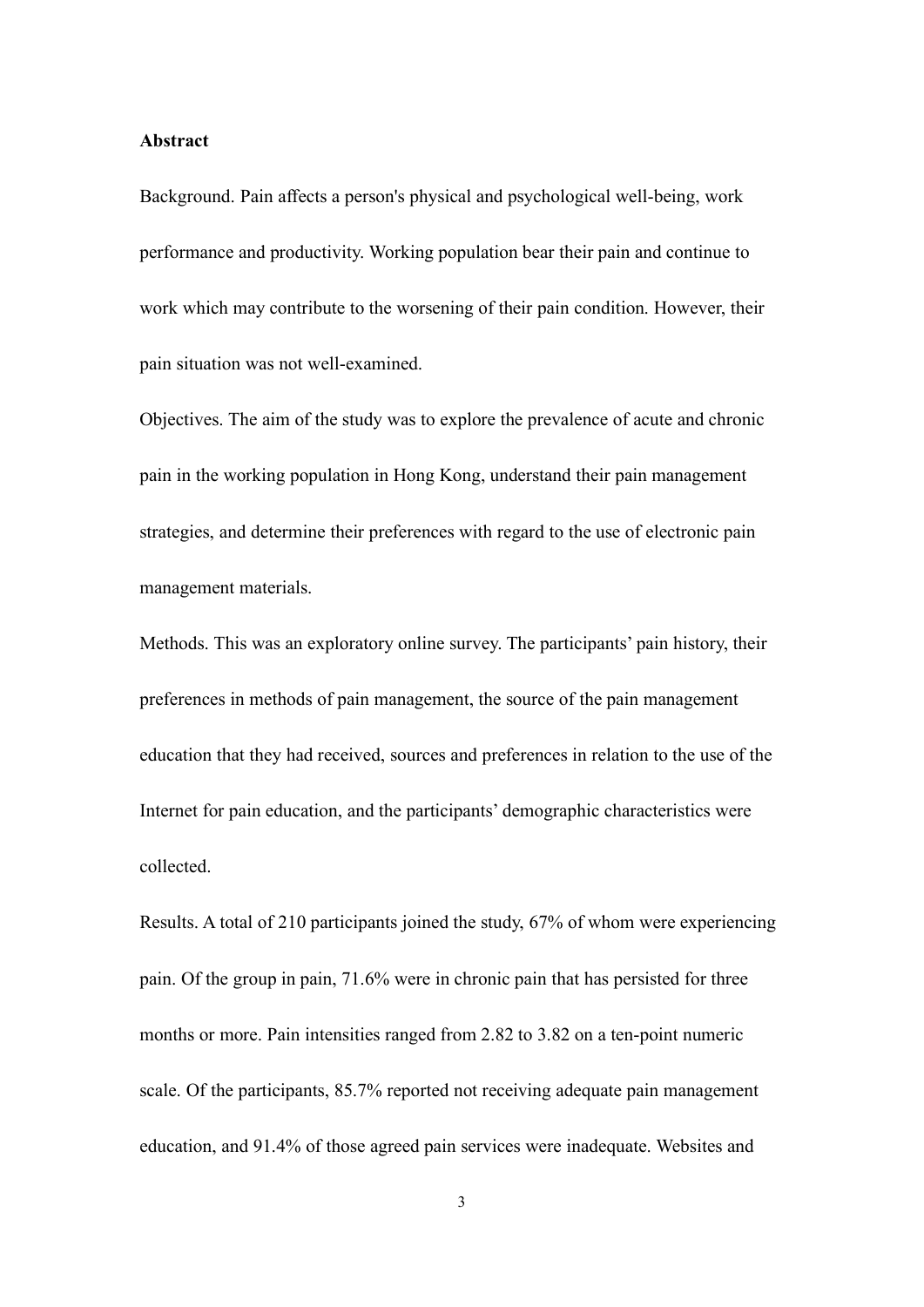#### **Abstract**

Background. Pain affects a person's physical and psychological well-being, work performance and productivity. Working population bear their pain and continue to work which may contribute to the worsening of their pain condition. However, their pain situation was not well-examined.

Objectives. The aim of the study was to explore the prevalence of acute and chronic pain in the working population in Hong Kong, understand their pain management strategies, and determine their preferences with regard to the use of electronic pain management materials.

Methods. This was an exploratory online survey. The participants' pain history, their preferences in methods of pain management, the source of the pain management education that they had received, sources and preferences in relation to the use of the Internet for pain education, and the participants' demographic characteristics were collected.

Results. A total of 210 participants joined the study, 67% of whom were experiencing pain. Of the group in pain, 71.6% were in chronic pain that has persisted for three months or more. Pain intensities ranged from 2.82 to 3.82 on a ten-point numeric scale. Of the participants, 85.7% reported not receiving adequate pain management education, and 91.4% of those agreed pain services were inadequate. Websites and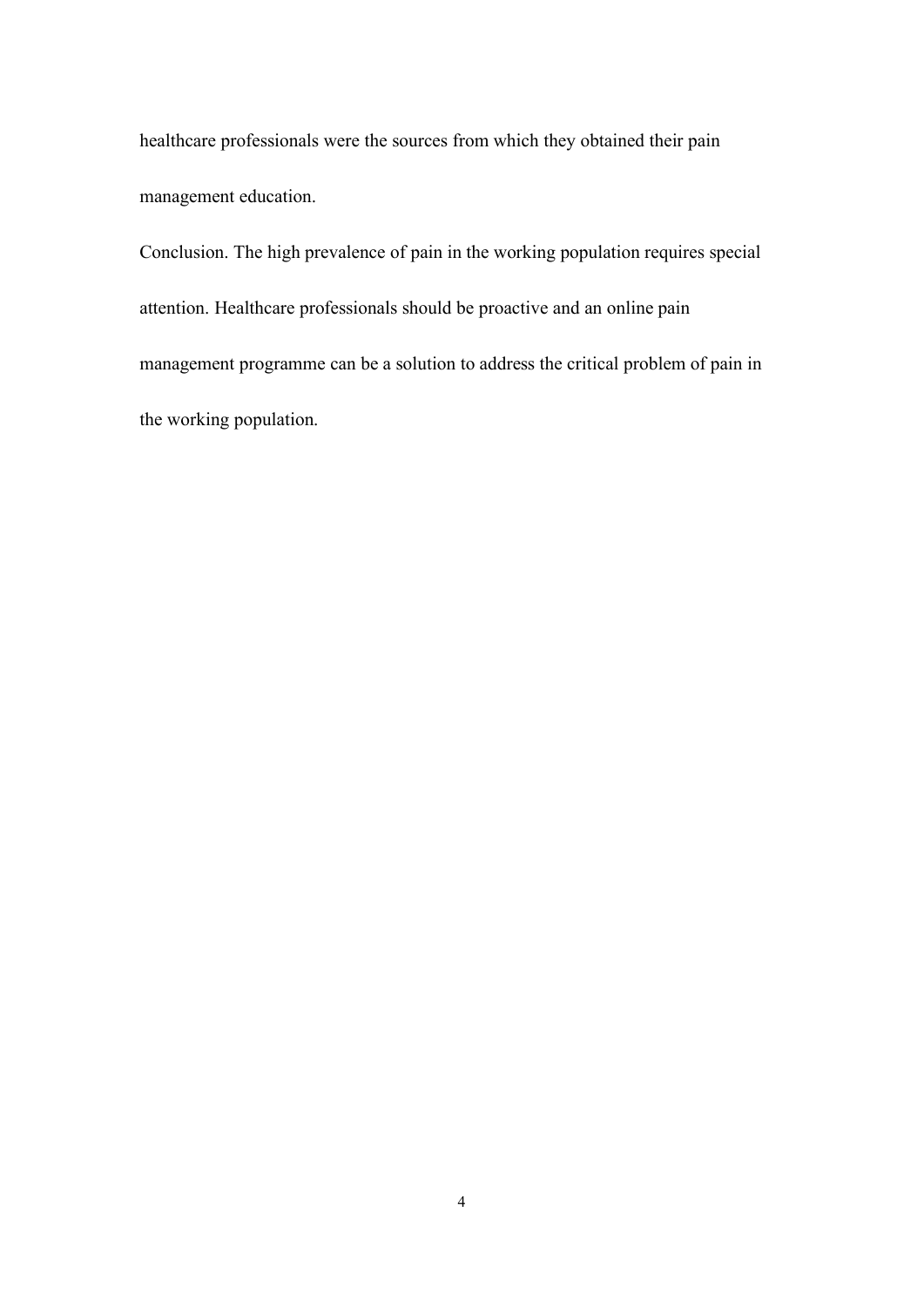healthcare professionals were the sources from which they obtained their pain management education.

Conclusion. The high prevalence of pain in the working population requires special attention. Healthcare professionals should be proactive and an online pain management programme can be a solution to address the critical problem of pain in the working population.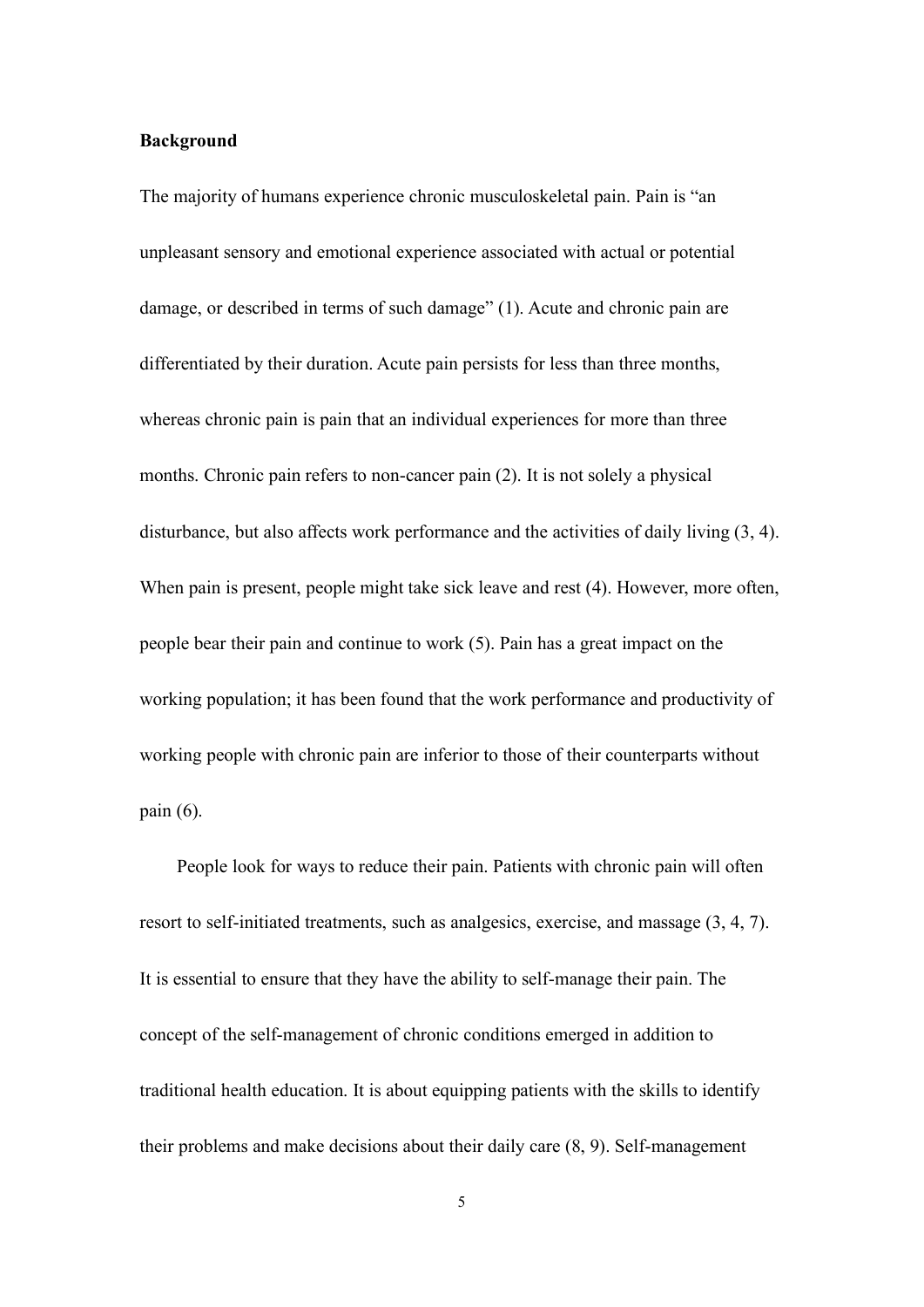### **Background**

The majority of humans experience chronic musculoskeletal pain. Pain is "an unpleasant sensory and emotional experience associated with actual or potential damage, or described in terms of such damage" (1). Acute and chronic pain are differentiated by their duration. Acute pain persists for less than three months, whereas chronic pain is pain that an individual experiences for more than three months. Chronic pain refers to non-cancer pain (2). It is not solely a physical disturbance, but also affects work performance and the activities of daily living (3, 4). When pain is present, people might take sick leave and rest (4). However, more often, people bear their pain and continue to work (5). Pain has a great impact on the working population; it has been found that the work performance and productivity of working people with chronic pain are inferior to those of their counterparts without pain (6).

People look for ways to reduce their pain. Patients with chronic pain will often resort to self-initiated treatments, such as analgesics, exercise, and massage (3, 4, 7). It is essential to ensure that they have the ability to self-manage their pain. The concept of the self-management of chronic conditions emerged in addition to traditional health education. It is about equipping patients with the skills to identify their problems and make decisions about their daily care (8, 9). Self-management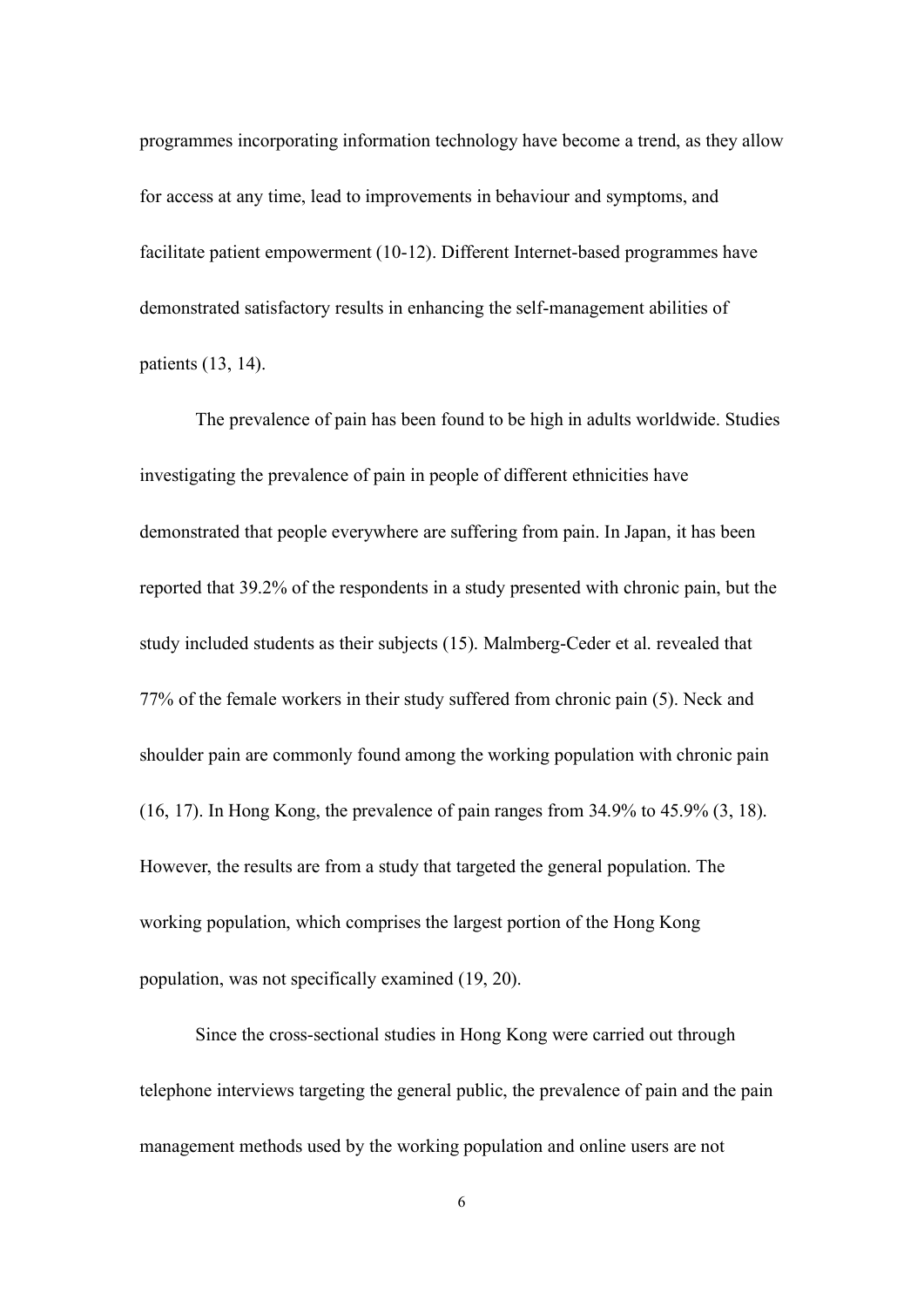programmes incorporating information technology have become a trend, as they allow for access at any time, lead to improvements in behaviour and symptoms, and facilitate patient empowerment (10-12). Different Internet-based programmes have demonstrated satisfactory results in enhancing the self-management abilities of patients (13, 14).

The prevalence of pain has been found to be high in adults worldwide. Studies investigating the prevalence of pain in people of different ethnicities have demonstrated that people everywhere are suffering from pain. In Japan, it has been reported that 39.2% of the respondents in a study presented with chronic pain, but the study included students as their subjects (15). Malmberg-Ceder et al. revealed that 77% of the female workers in their study suffered from chronic pain (5). Neck and shoulder pain are commonly found among the working population with chronic pain (16, 17). In Hong Kong, the prevalence of pain ranges from 34.9% to 45.9% (3, 18). However, the results are from a study that targeted the general population. The working population, which comprises the largest portion of the Hong Kong population, was not specifically examined (19, 20).

Since the cross-sectional studies in Hong Kong were carried out through telephone interviews targeting the general public, the prevalence of pain and the pain management methods used by the working population and online users are not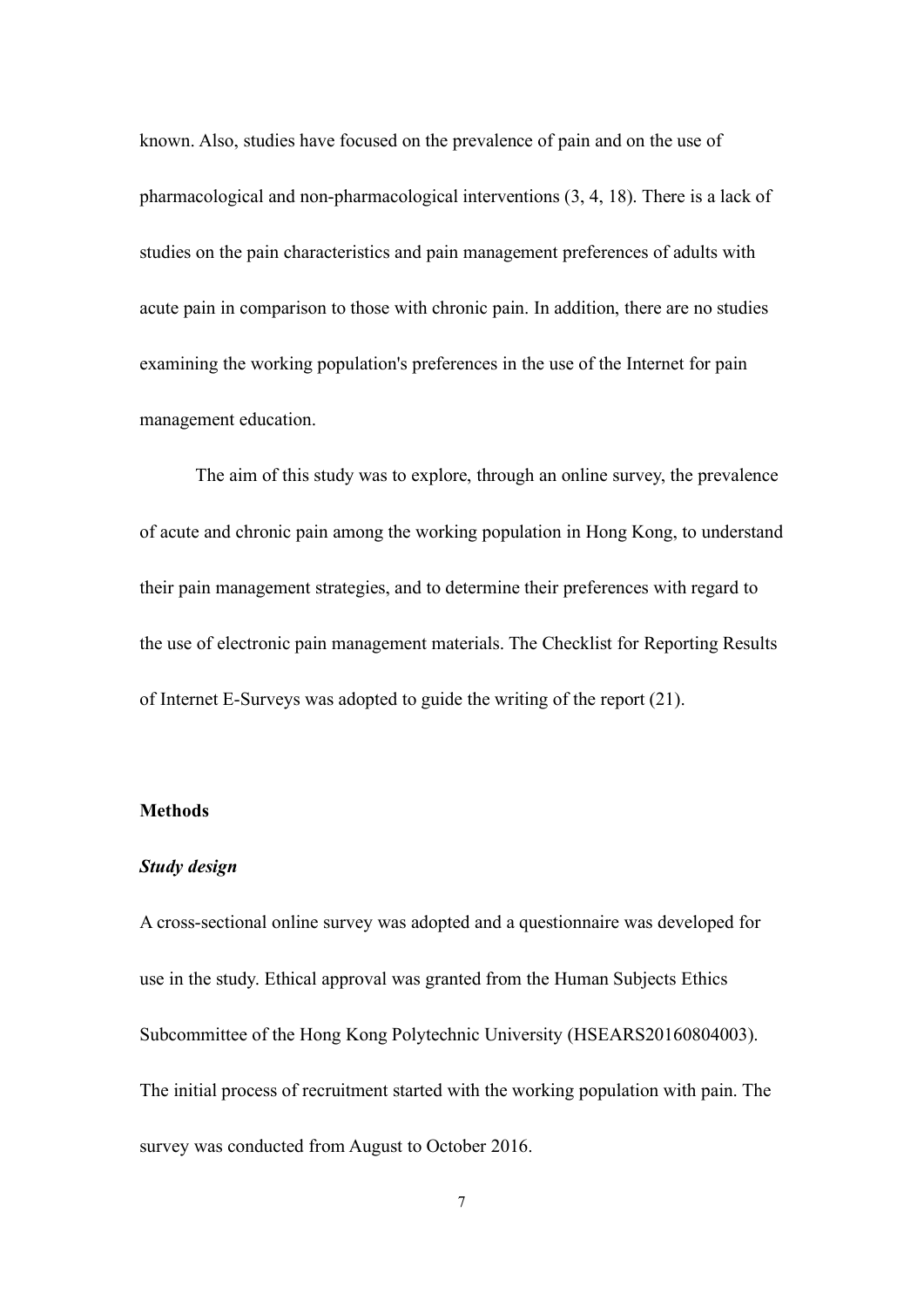known. Also, studies have focused on the prevalence of pain and on the use of pharmacological and non-pharmacological interventions (3, 4, 18). There is a lack of studies on the pain characteristics and pain management preferences of adults with acute pain in comparison to those with chronic pain. In addition, there are no studies examining the working population's preferences in the use of the Internet for pain management education.

The aim of this study was to explore, through an online survey, the prevalence of acute and chronic pain among the working population in Hong Kong, to understand their pain management strategies, and to determine their preferences with regard to the use of electronic pain management materials. The Checklist for Reporting Results of Internet E-Surveys was adopted to guide the writing of the report (21).

# **Methods**

#### *Study design*

A cross-sectional online survey was adopted and a questionnaire was developed for use in the study. Ethical approval was granted from the Human Subjects Ethics Subcommittee of the Hong Kong Polytechnic University (HSEARS20160804003). The initial process of recruitment started with the working population with pain. The survey was conducted from August to October 2016.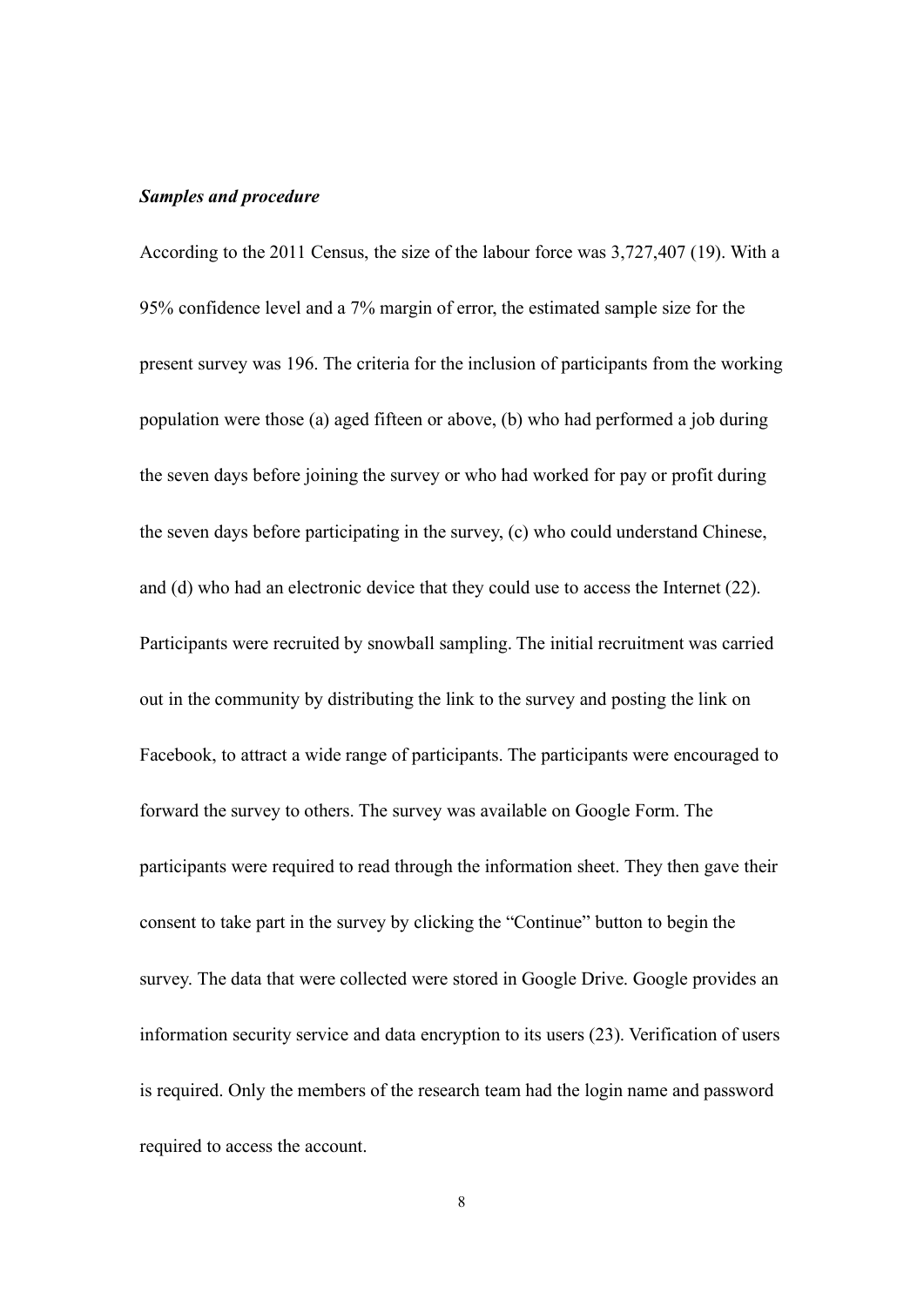#### *Samples and procedure*

According to the 2011 Census, the size of the labour force was 3,727,407 (19). With a 95% confidence level and a 7% margin of error, the estimated sample size for the present survey was 196. The criteria for the inclusion of participants from the working population were those (a) aged fifteen or above, (b) who had performed a job during the seven days before joining the survey or who had worked for pay or profit during the seven days before participating in the survey, (c) who could understand Chinese, and (d) who had an electronic device that they could use to access the Internet (22). Participants were recruited by snowball sampling. The initial recruitment was carried out in the community by distributing the link to the survey and posting the link on Facebook, to attract a wide range of participants. The participants were encouraged to forward the survey to others. The survey was available on Google Form. The participants were required to read through the information sheet. They then gave their consent to take part in the survey by clicking the "Continue" button to begin the survey. The data that were collected were stored in Google Drive. Google provides an information security service and data encryption to its users (23). Verification of users is required. Only the members of the research team had the login name and password required to access the account.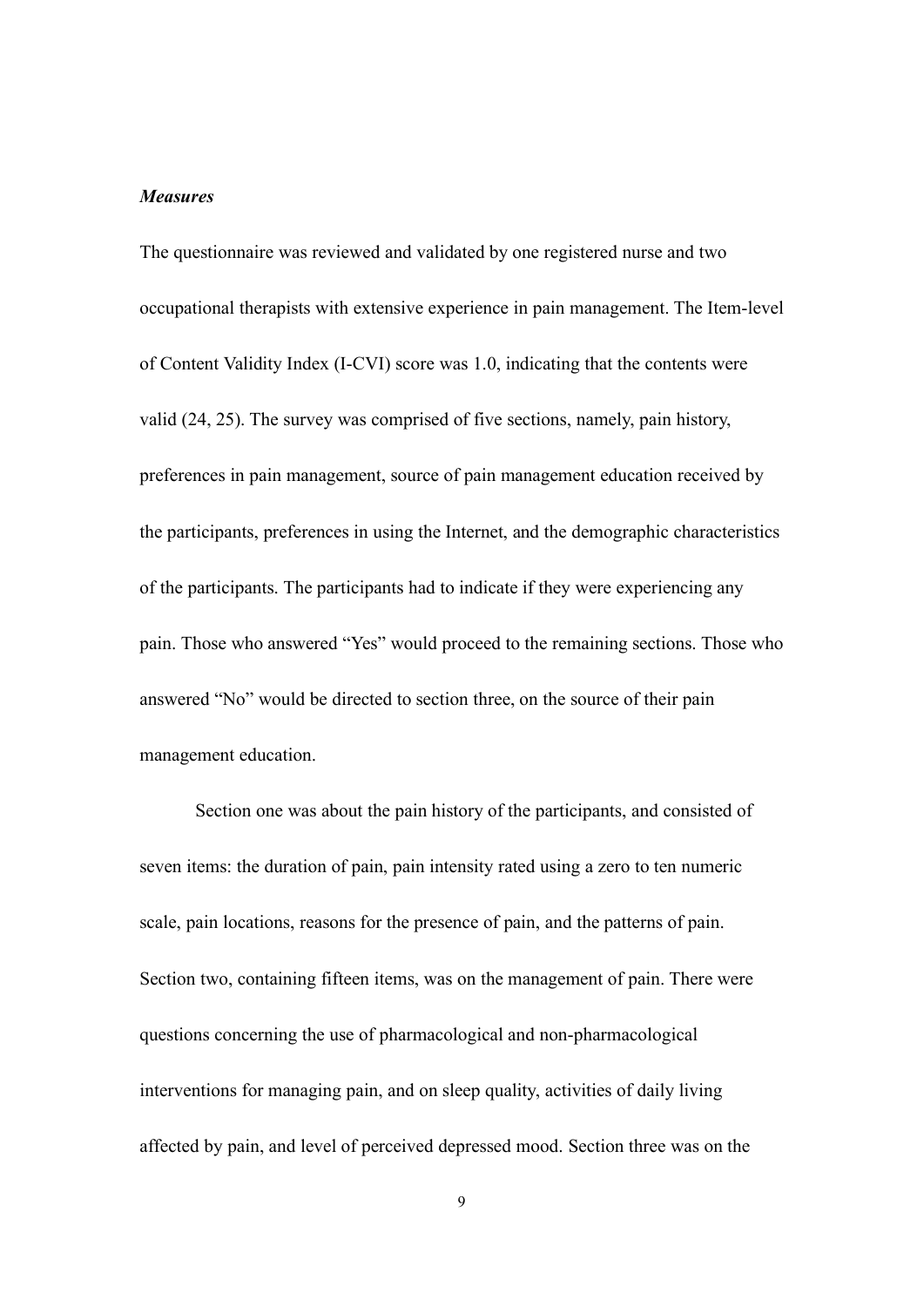#### *Measures*

The questionnaire was reviewed and validated by one registered nurse and two occupational therapists with extensive experience in pain management. The Item-level of Content Validity Index (I-CVI) score was 1.0, indicating that the contents were valid (24, 25). The survey was comprised of five sections, namely, pain history, preferences in pain management, source of pain management education received by the participants, preferences in using the Internet, and the demographic characteristics of the participants. The participants had to indicate if they were experiencing any pain. Those who answered "Yes" would proceed to the remaining sections. Those who answered "No" would be directed to section three, on the source of their pain management education.

Section one was about the pain history of the participants, and consisted of seven items: the duration of pain, pain intensity rated using a zero to ten numeric scale, pain locations, reasons for the presence of pain, and the patterns of pain. Section two, containing fifteen items, was on the management of pain. There were questions concerning the use of pharmacological and non-pharmacological interventions for managing pain, and on sleep quality, activities of daily living affected by pain, and level of perceived depressed mood. Section three was on the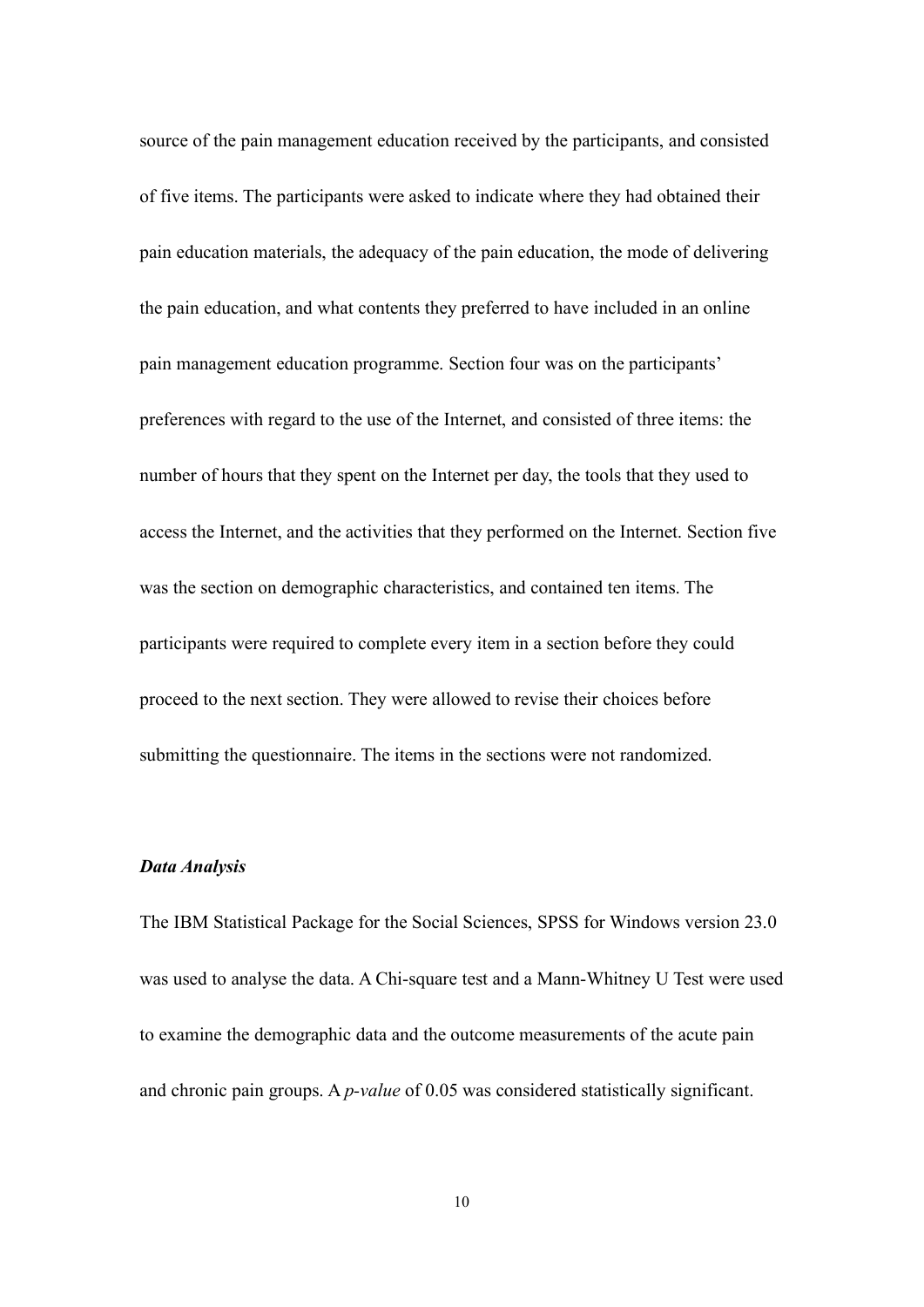source of the pain management education received by the participants, and consisted of five items. The participants were asked to indicate where they had obtained their pain education materials, the adequacy of the pain education, the mode of delivering the pain education, and what contents they preferred to have included in an online pain management education programme. Section four was on the participants' preferences with regard to the use of the Internet, and consisted of three items: the number of hours that they spent on the Internet per day, the tools that they used to access the Internet, and the activities that they performed on the Internet. Section five was the section on demographic characteristics, and contained ten items. The participants were required to complete every item in a section before they could proceed to the next section. They were allowed to revise their choices before submitting the questionnaire. The items in the sections were not randomized.

### *Data Analysis*

The IBM Statistical Package for the Social Sciences, SPSS for Windows version 23.0 was used to analyse the data. A Chi-square test and a Mann-Whitney U Test were used to examine the demographic data and the outcome measurements of the acute pain and chronic pain groups. A *p-value* of 0.05 was considered statistically significant.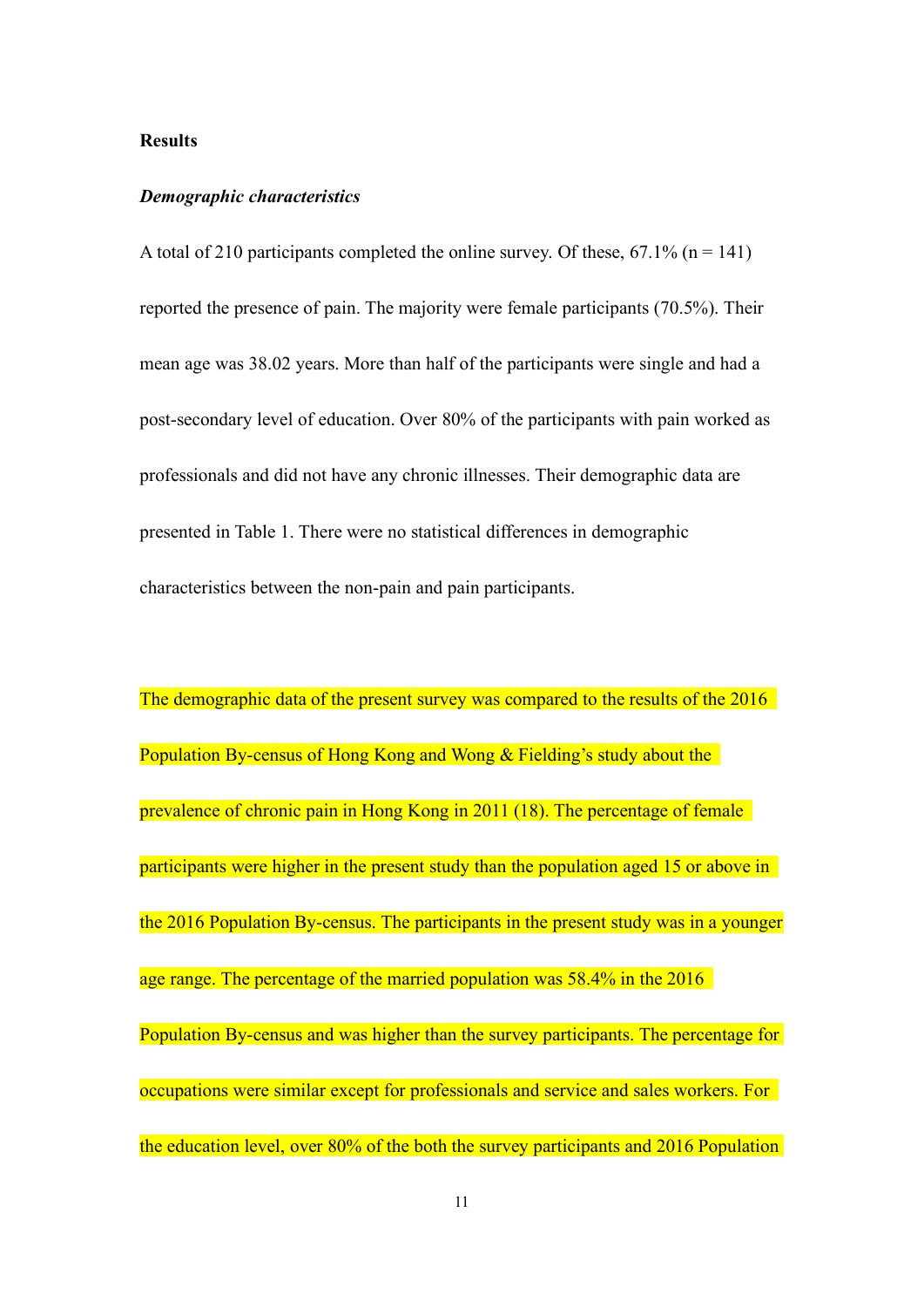### **Results**

#### *Demographic characteristics*

A total of 210 participants completed the online survey. Of these,  $67.1\%$  (n = 141) reported the presence of pain. The majority were female participants (70.5%). Their mean age was 38.02 years. More than half of the participants were single and had a post-secondary level of education. Over 80% of the participants with pain worked as professionals and did not have any chronic illnesses. Their demographic data are presented in Table 1. There were no statistical differences in demographic characteristics between the non-pain and pain participants.

The demographic data of the present survey was compared to the results of the 2016 Population By-census of Hong Kong and Wong & Fielding's study about the prevalence of chronic pain in Hong Kong in 2011 (18). The percentage of female participants were higher in the present study than the population aged 15 or above in the 2016 Population By-census. The participants in the present study was in a younger age range. The percentage of the married population was 58.4% in the 2016 Population By-census and was higher than the survey participants. The percentage for occupations were similar except for professionals and service and sales workers. For the education level, over 80% of the both the survey participants and 2016 Population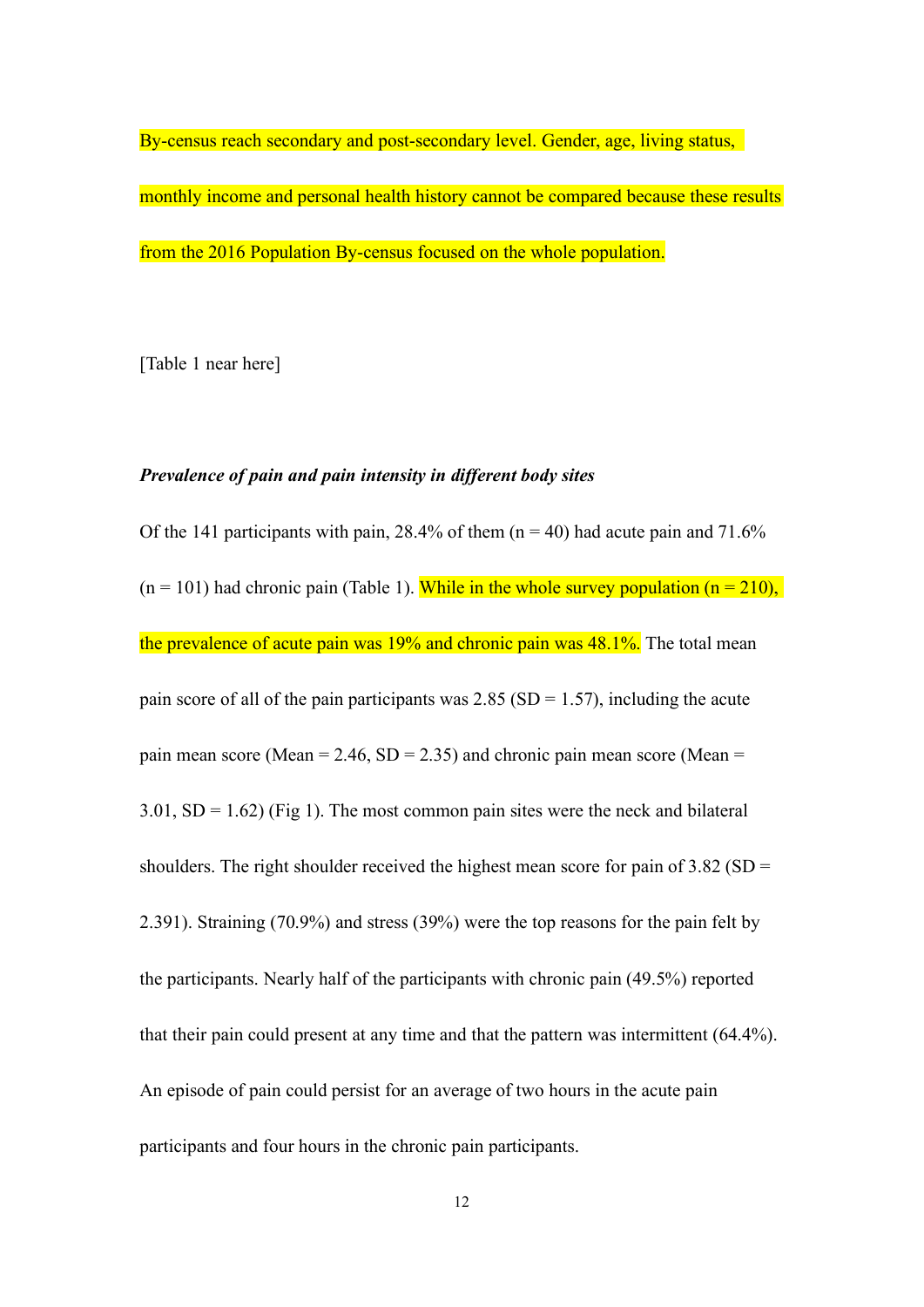By-census reach secondary and post-secondary level. Gender, age, living status, monthly income and personal health history cannot be compared because these results from the 2016 Population By-census focused on the whole population.

[Table 1 near here]

### *Prevalence of pain and pain intensity in different body sites*

Of the 141 participants with pain, 28.4% of them  $(n = 40)$  had acute pain and 71.6%  $(n = 101)$  had chronic pain (Table 1). While in the whole survey population  $(n = 210)$ , the prevalence of acute pain was 19% and chronic pain was 48.1%. The total mean pain score of all of the pain participants was  $2.85$  (SD = 1.57), including the acute pain mean score (Mean = 2.46, SD = 2.35) and chronic pain mean score (Mean =  $3.01$ , SD = 1.62) (Fig 1). The most common pain sites were the neck and bilateral shoulders. The right shoulder received the highest mean score for pain of  $3.82$  (SD = 2.391). Straining (70.9%) and stress (39%) were the top reasons for the pain felt by the participants. Nearly half of the participants with chronic pain (49.5%) reported that their pain could present at any time and that the pattern was intermittent (64.4%). An episode of pain could persist for an average of two hours in the acute pain participants and four hours in the chronic pain participants.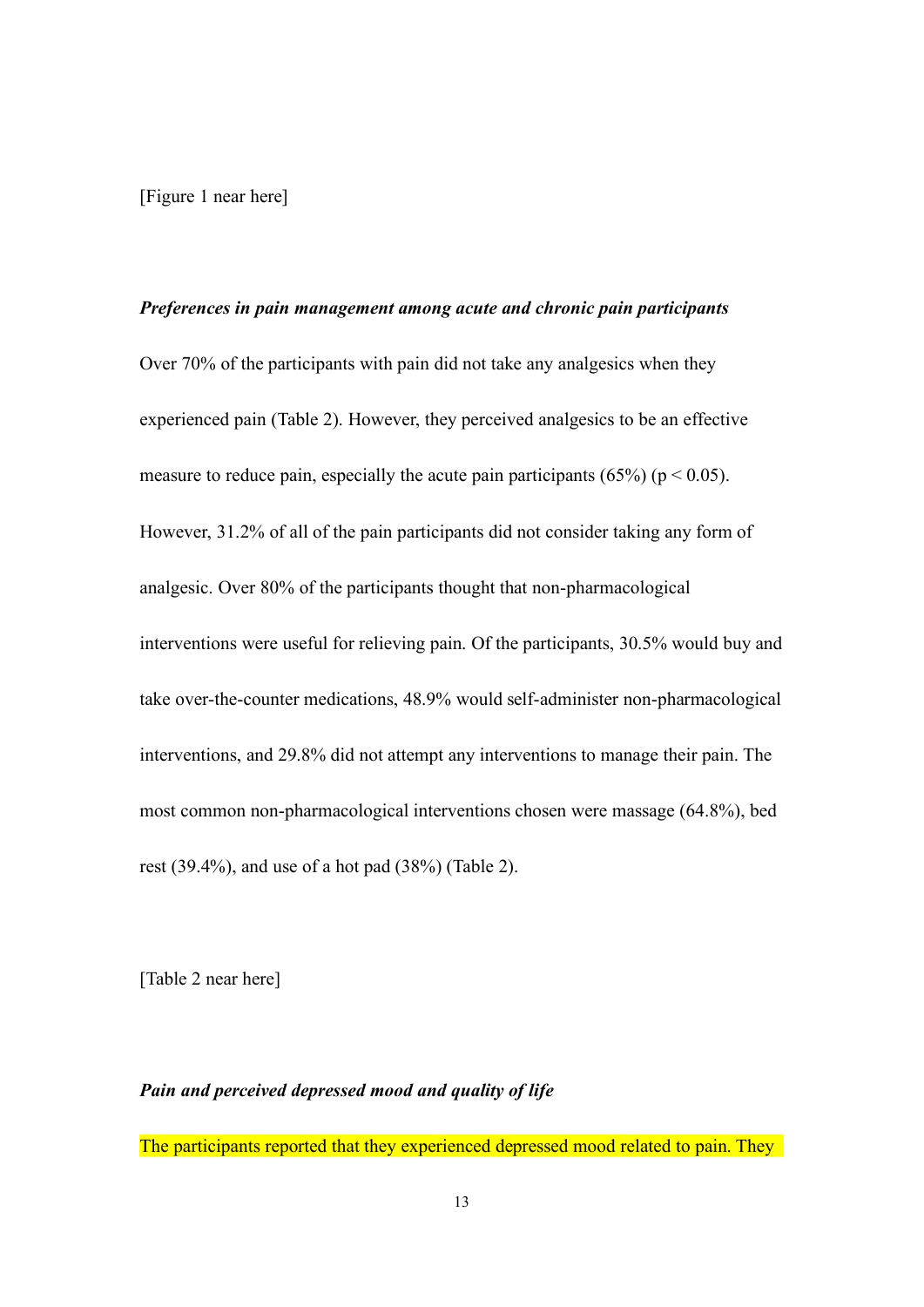[Figure 1 near here]

### *Preferences in pain management among acute and chronic pain participants*

Over 70% of the participants with pain did not take any analgesics when they experienced pain (Table 2). However, they perceived analgesics to be an effective measure to reduce pain, especially the acute pain participants (65%) ( $p < 0.05$ ). However, 31.2% of all of the pain participants did not consider taking any form of analgesic. Over 80% of the participants thought that non-pharmacological interventions were useful for relieving pain. Of the participants, 30.5% would buy and take over-the-counter medications, 48.9% would self-administer non-pharmacological interventions, and 29.8% did not attempt any interventions to manage their pain. The most common non-pharmacological interventions chosen were massage (64.8%), bed rest (39.4%), and use of a hot pad (38%) (Table 2).

[Table 2 near here]

# *Pain and perceived depressed mood and quality of life*

The participants reported that they experienced depressed mood related to pain. They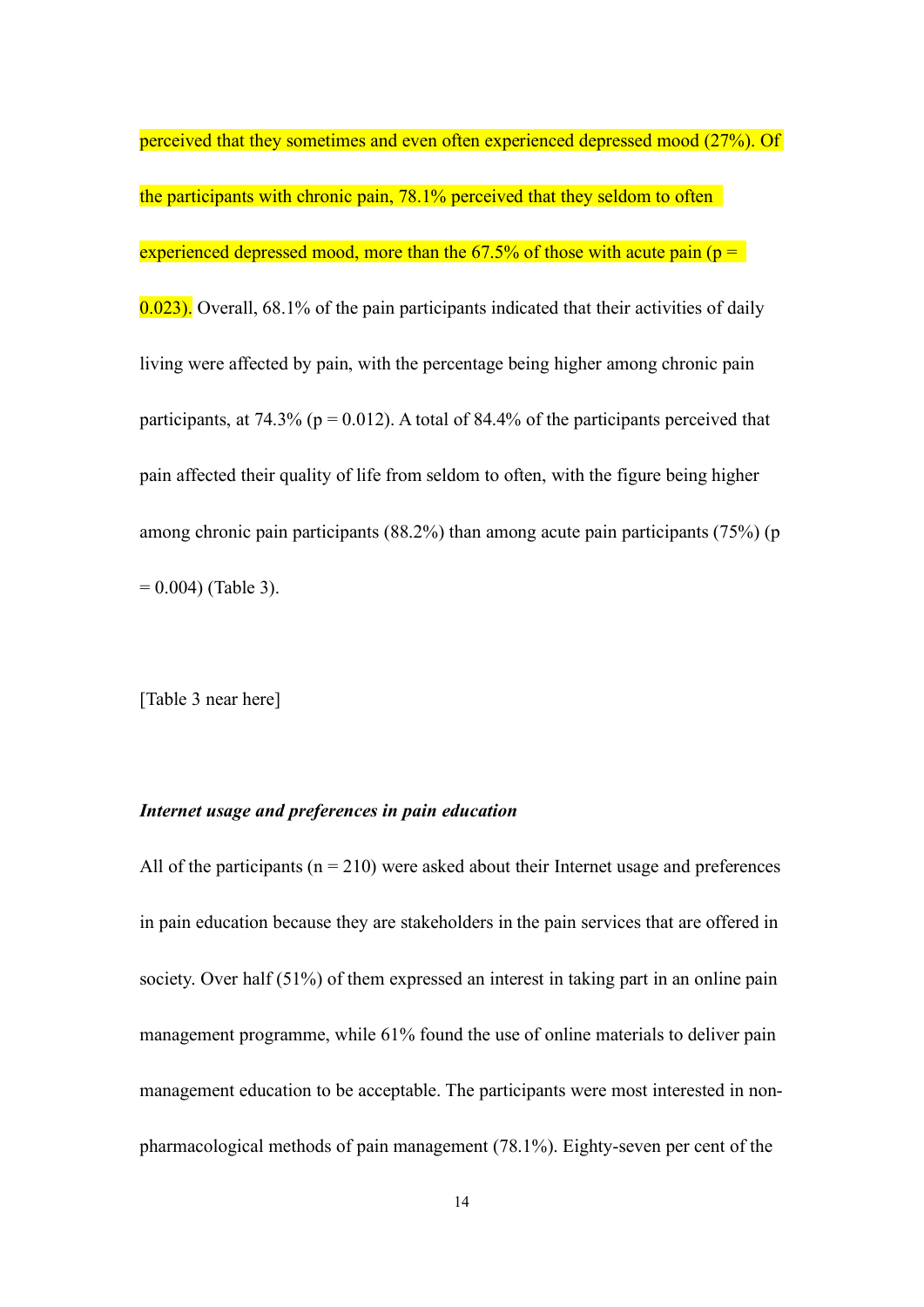perceived that they sometimes and even often experienced depressed mood (27%). Of the participants with chronic pain, 78.1% perceived that they seldom to often experienced depressed mood, more than the 67.5% of those with acute pain ( $p =$ 0.023). Overall, 68.1% of the pain participants indicated that their activities of daily living were affected by pain, with the percentage being higher among chronic pain participants, at 74.3% ( $p = 0.012$ ). A total of 84.4% of the participants perceived that pain affected their quality of life from seldom to often, with the figure being higher among chronic pain participants (88.2%) than among acute pain participants (75%) (p  $= 0.004$ ) (Table 3).

[Table 3 near here]

# *Internet usage and preferences in pain education*

All of the participants ( $n = 210$ ) were asked about their Internet usage and preferences in pain education because they are stakeholders in the pain services that are offered in society. Over half (51%) of them expressed an interest in taking part in an online pain management programme, while 61% found the use of online materials to deliver pain management education to be acceptable. The participants were most interested in nonpharmacological methods of pain management (78.1%). Eighty-seven per cent of the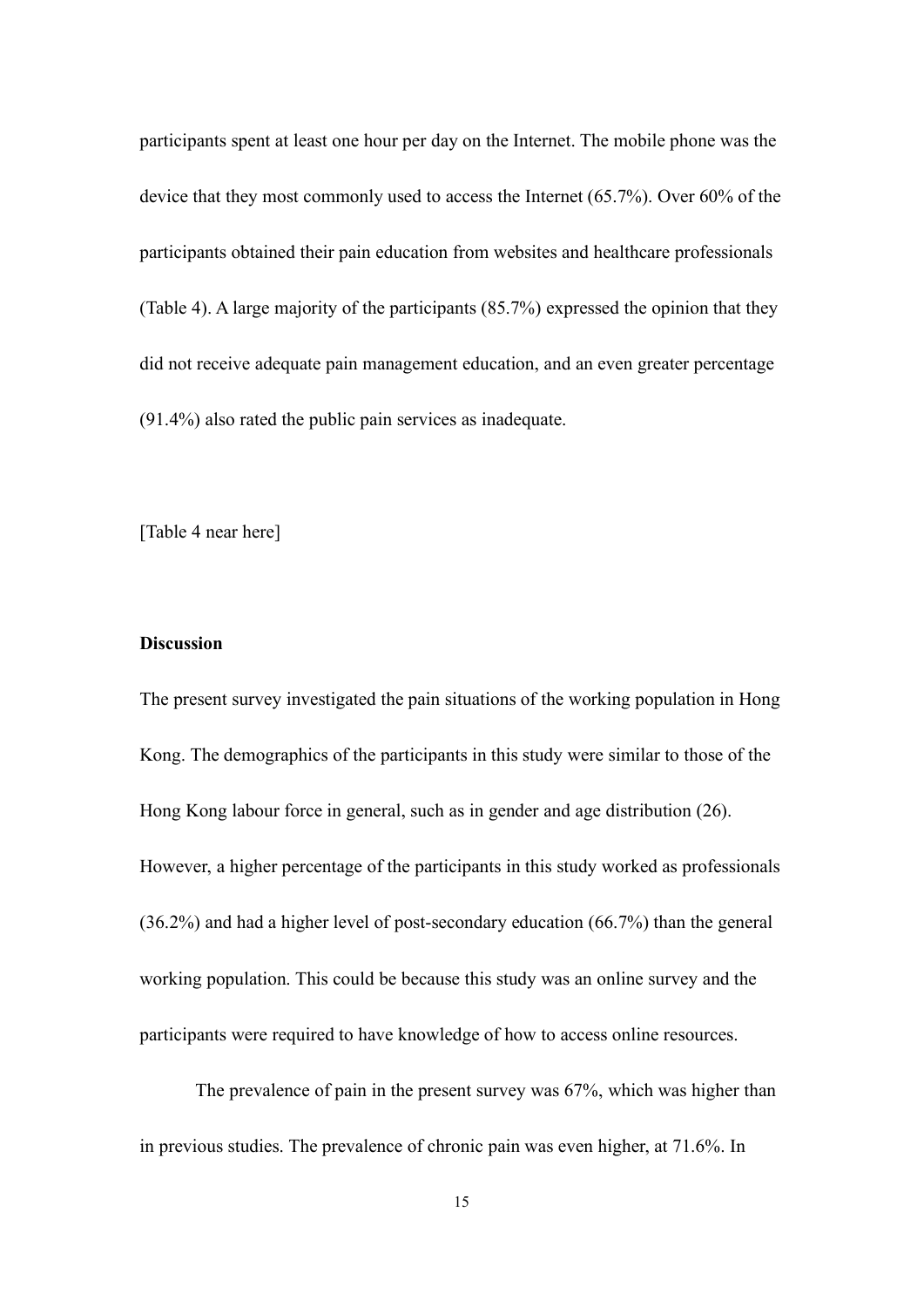participants spent at least one hour per day on the Internet. The mobile phone was the device that they most commonly used to access the Internet (65.7%). Over 60% of the participants obtained their pain education from websites and healthcare professionals (Table 4). A large majority of the participants (85.7%) expressed the opinion that they did not receive adequate pain management education, and an even greater percentage (91.4%) also rated the public pain services as inadequate.

[Table 4 near here]

# **Discussion**

The present survey investigated the pain situations of the working population in Hong Kong. The demographics of the participants in this study were similar to those of the Hong Kong labour force in general, such as in gender and age distribution (26). However, a higher percentage of the participants in this study worked as professionals (36.2%) and had a higher level of post-secondary education (66.7%) than the general working population. This could be because this study was an online survey and the participants were required to have knowledge of how to access online resources.

The prevalence of pain in the present survey was 67%, which was higher than in previous studies. The prevalence of chronic pain was even higher, at 71.6%. In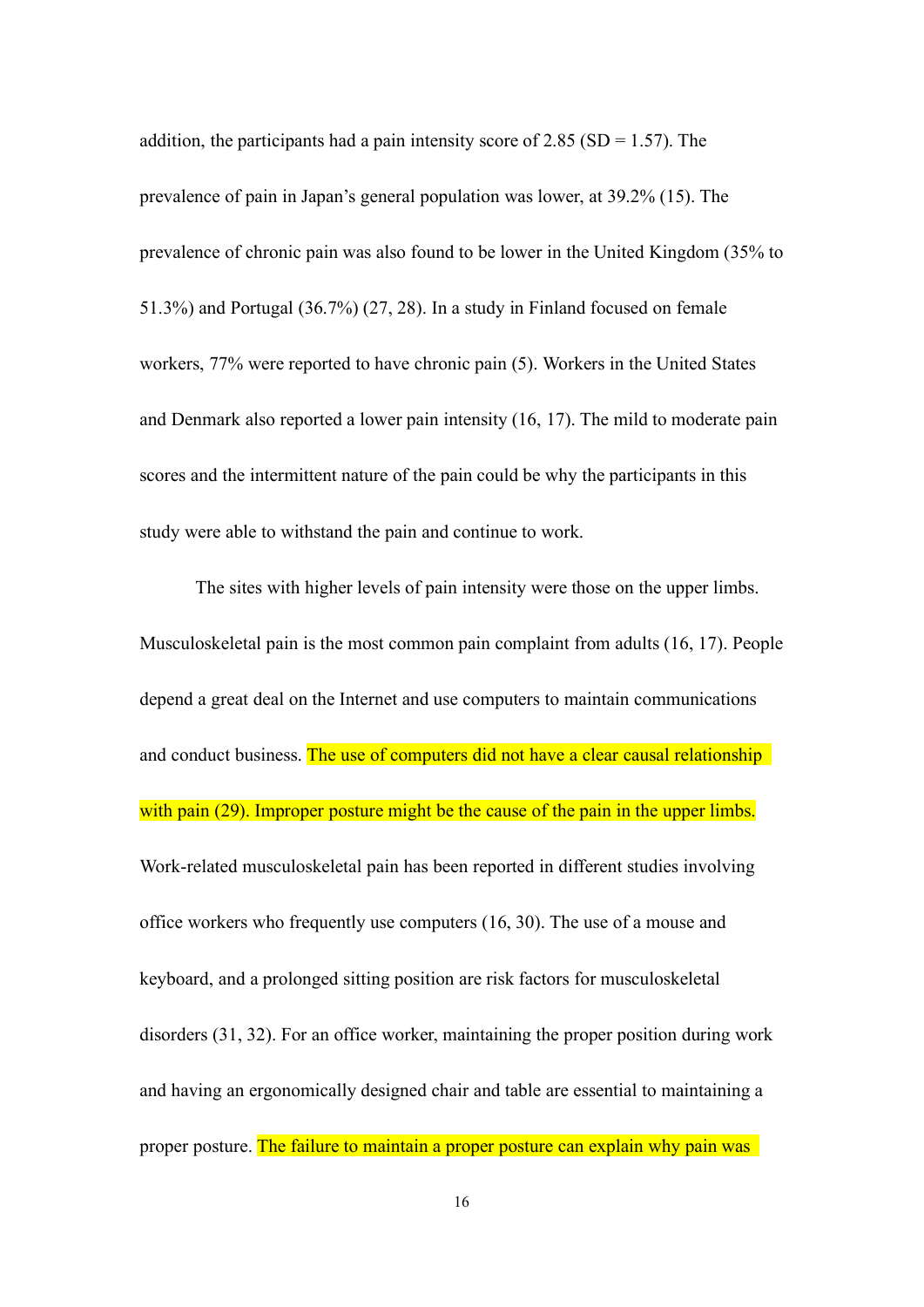addition, the participants had a pain intensity score of 2.85 (SD = 1.57). The prevalence of pain in Japan's general population was lower, at 39.2% (15). The prevalence of chronic pain was also found to be lower in the United Kingdom (35% to 51.3%) and Portugal (36.7%) (27, 28). In a study in Finland focused on female workers, 77% were reported to have chronic pain (5). Workers in the United States and Denmark also reported a lower pain intensity (16, 17). The mild to moderate pain scores and the intermittent nature of the pain could be why the participants in this study were able to withstand the pain and continue to work.

The sites with higher levels of pain intensity were those on the upper limbs. Musculoskeletal pain is the most common pain complaint from adults (16, 17). People depend a great deal on the Internet and use computers to maintain communications and conduct business. The use of computers did not have a clear causal relationship with pain (29). Improper posture might be the cause of the pain in the upper limbs. Work-related musculoskeletal pain has been reported in different studies involving office workers who frequently use computers (16, 30). The use of a mouse and keyboard, and a prolonged sitting position are risk factors for musculoskeletal disorders (31, 32). For an office worker, maintaining the proper position during work and having an ergonomically designed chair and table are essential to maintaining a proper posture. The failure to maintain a proper posture can explain why pain was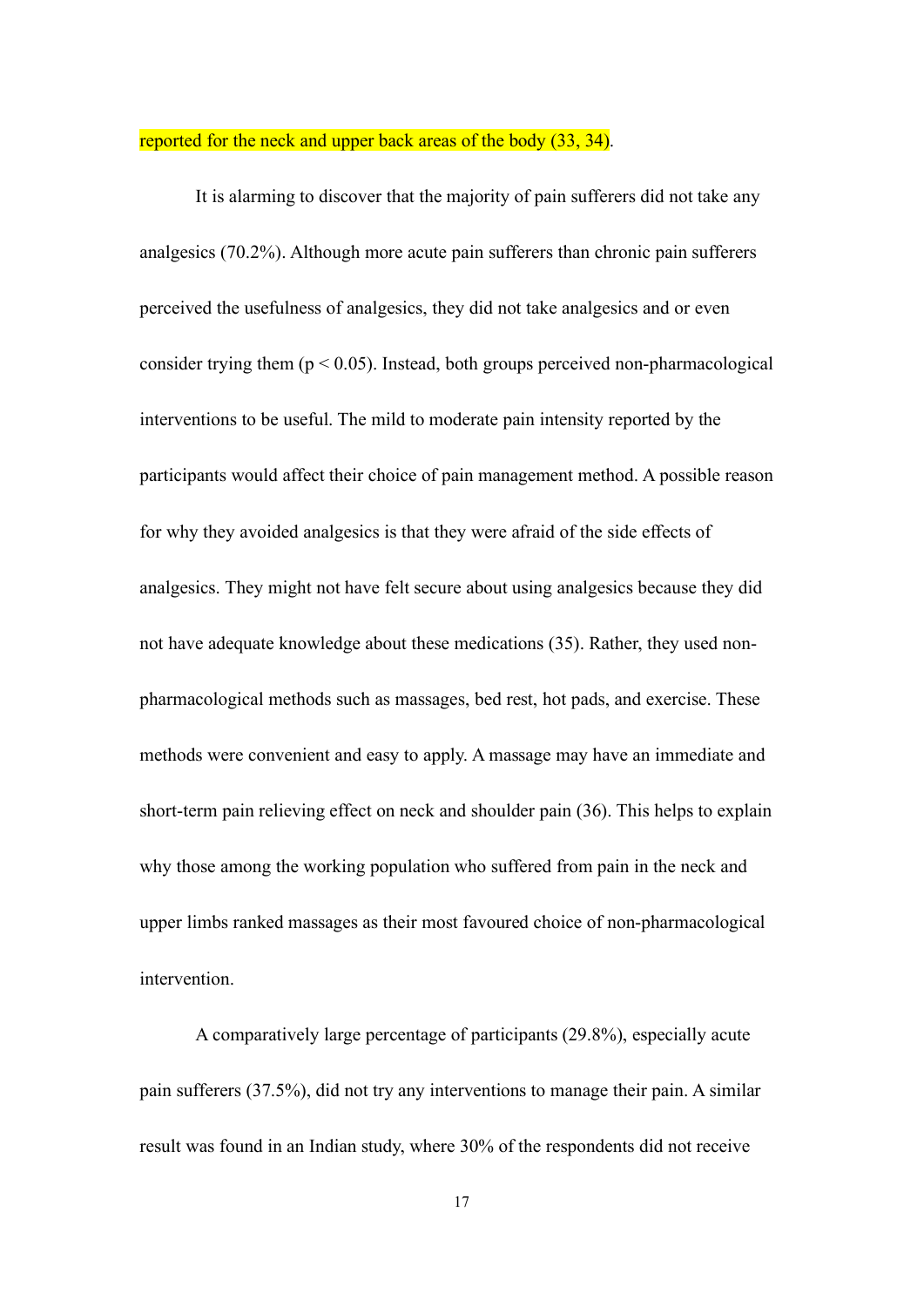## reported for the neck and upper back areas of the body (33, 34).

It is alarming to discover that the majority of pain sufferers did not take any analgesics (70.2%). Although more acute pain sufferers than chronic pain sufferers perceived the usefulness of analgesics, they did not take analgesics and or even consider trying them ( $p < 0.05$ ). Instead, both groups perceived non-pharmacological interventions to be useful. The mild to moderate pain intensity reported by the participants would affect their choice of pain management method. A possible reason for why they avoided analgesics is that they were afraid of the side effects of analgesics. They might not have felt secure about using analgesics because they did not have adequate knowledge about these medications (35). Rather, they used nonpharmacological methods such as massages, bed rest, hot pads, and exercise. These methods were convenient and easy to apply. A massage may have an immediate and short-term pain relieving effect on neck and shoulder pain (36). This helps to explain why those among the working population who suffered from pain in the neck and upper limbs ranked massages as their most favoured choice of non-pharmacological intervention.

A comparatively large percentage of participants (29.8%), especially acute pain sufferers (37.5%), did not try any interventions to manage their pain. A similar result was found in an Indian study, where 30% of the respondents did not receive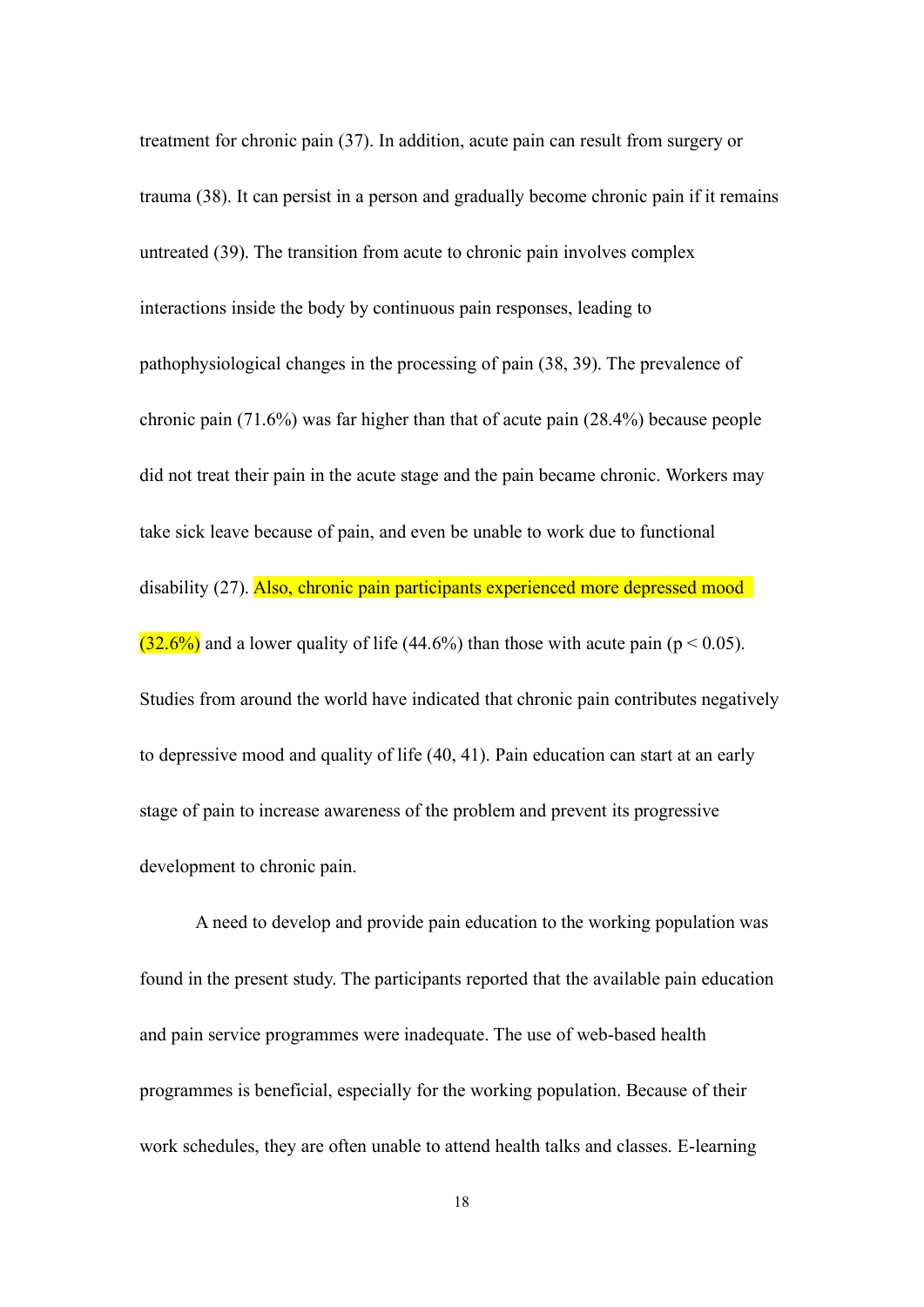treatment for chronic pain (37). In addition, acute pain can result from surgery or trauma (38). It can persist in a person and gradually become chronic pain if it remains untreated (39). The transition from acute to chronic pain involves complex interactions inside the body by continuous pain responses, leading to pathophysiological changes in the processing of pain (38, 39). The prevalence of chronic pain (71.6%) was far higher than that of acute pain (28.4%) because people did not treat their pain in the acute stage and the pain became chronic. Workers may take sick leave because of pain, and even be unable to work due to functional disability (27). Also, chronic pain participants experienced more depressed mood  $(32.6\%)$  and a lower quality of life (44.6%) than those with acute pain (p < 0.05). Studies from around the world have indicated that chronic pain contributes negatively to depressive mood and quality of life (40, 41). Pain education can start at an early stage of pain to increase awareness of the problem and prevent its progressive development to chronic pain.

A need to develop and provide pain education to the working population was found in the present study. The participants reported that the available pain education and pain service programmes were inadequate. The use of web-based health programmes is beneficial, especially for the working population. Because of their work schedules, they are often unable to attend health talks and classes. E-learning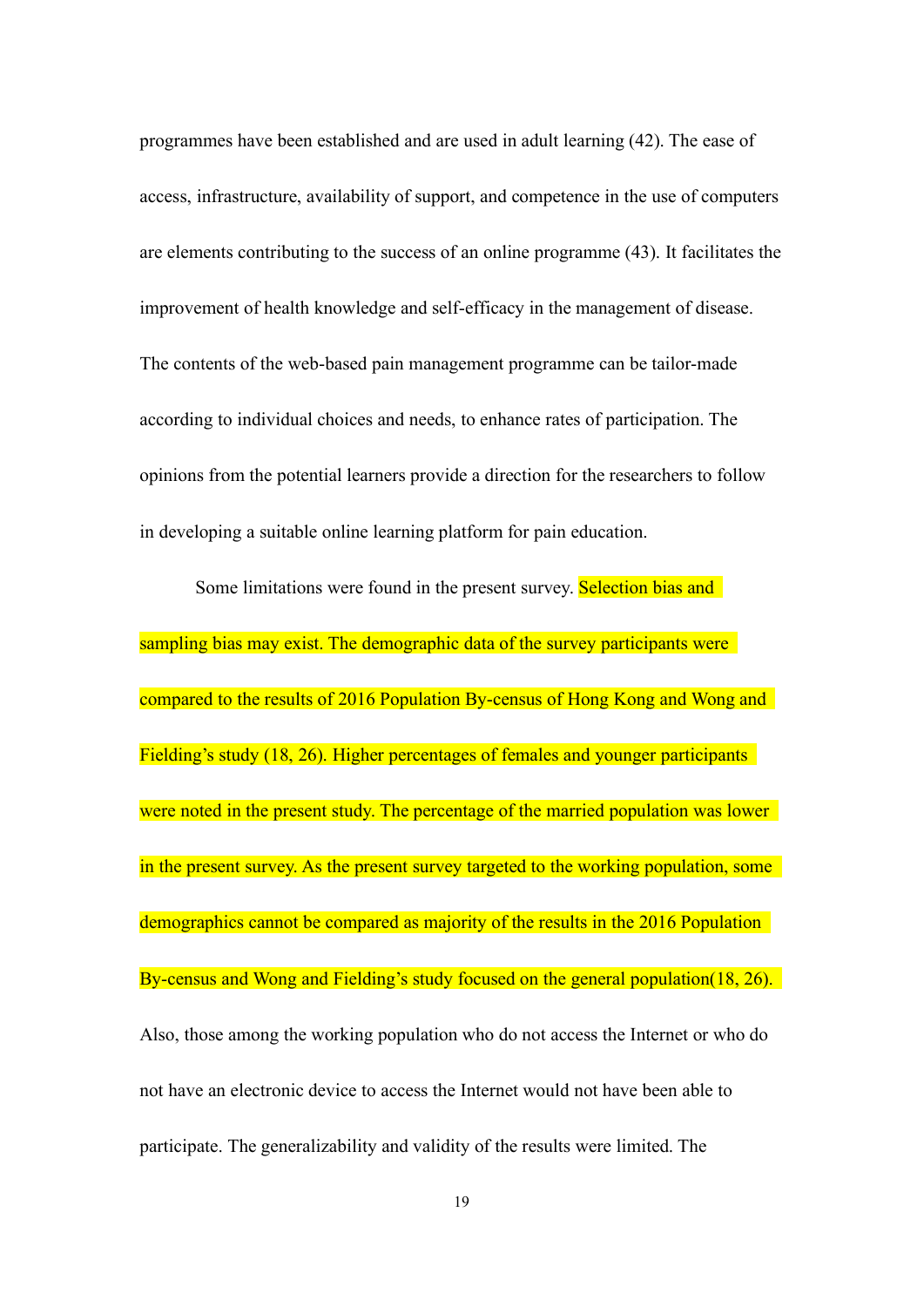programmes have been established and are used in adult learning (42). The ease of access, infrastructure, availability of support, and competence in the use of computers are elements contributing to the success of an online programme (43). It facilitates the improvement of health knowledge and self-efficacy in the management of disease. The contents of the web-based pain management programme can be tailor-made according to individual choices and needs, to enhance rates of participation. The opinions from the potential learners provide a direction for the researchers to follow in developing a suitable online learning platform for pain education.

Some limitations were found in the present survey. Selection bias and sampling bias may exist. The demographic data of the survey participants were compared to the results of 2016 Population By-census of Hong Kong and Wong and Fielding's study (18, 26). Higher percentages of females and younger participants were noted in the present study. The percentage of the married population was lower in the present survey. As the present survey targeted to the working population, some demographics cannot be compared as majority of the results in the 2016 Population By-census and Wong and Fielding's study focused on the general population (18, 26). Also, those among the working population who do not access the Internet or who do not have an electronic device to access the Internet would not have been able to participate. The generalizability and validity of the results were limited. The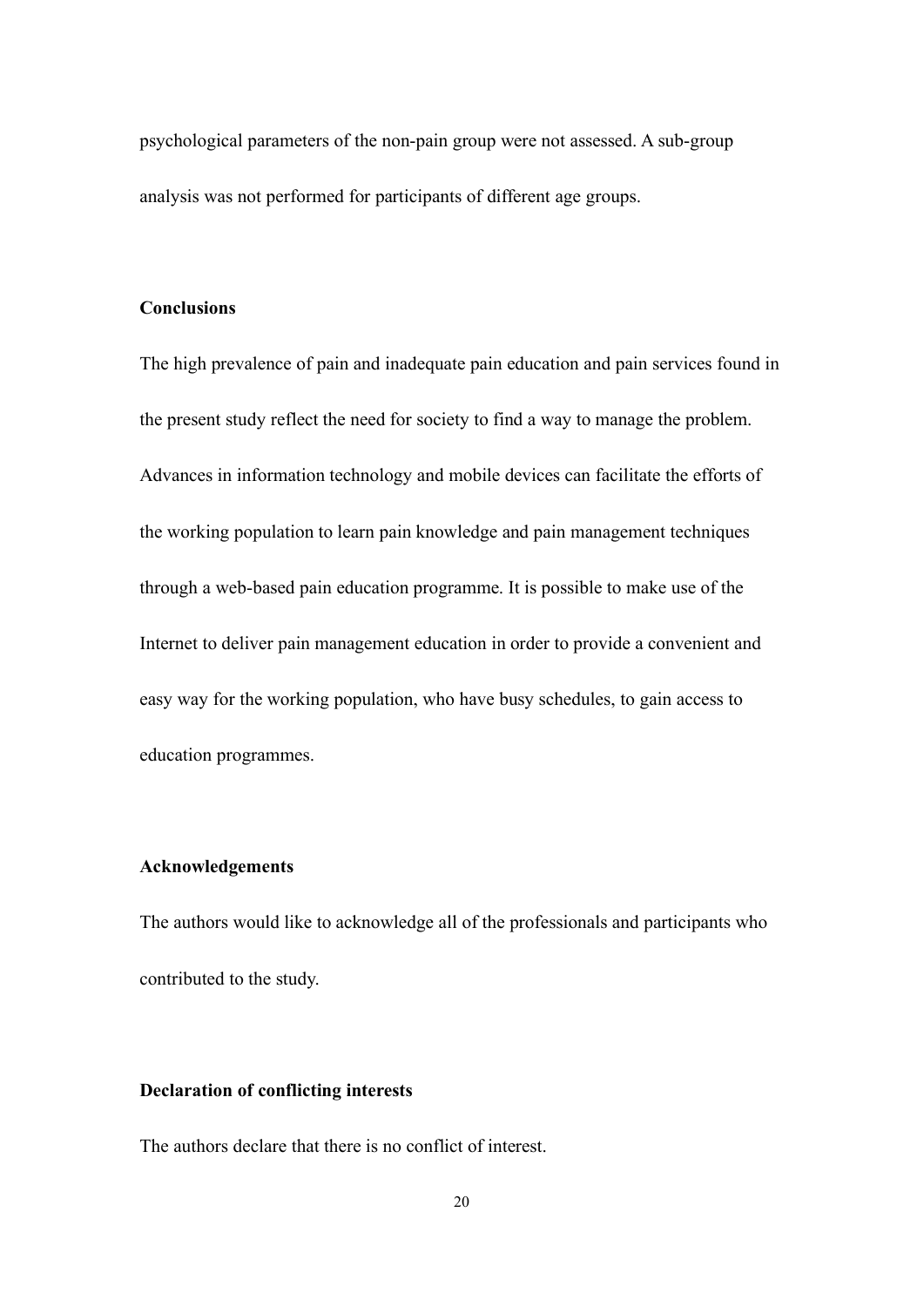psychological parameters of the non-pain group were not assessed. A sub-group analysis was not performed for participants of different age groups.

# **Conclusions**

The high prevalence of pain and inadequate pain education and pain services found in the present study reflect the need for society to find a way to manage the problem. Advances in information technology and mobile devices can facilitate the efforts of the working population to learn pain knowledge and pain management techniques through a web-based pain education programme. It is possible to make use of the Internet to deliver pain management education in order to provide a convenient and easy way for the working population, who have busy schedules, to gain access to education programmes.

### **Acknowledgements**

The authors would like to acknowledge all of the professionals and participants who contributed to the study.

## **Declaration of conflicting interests**

The authors declare that there is no conflict of interest.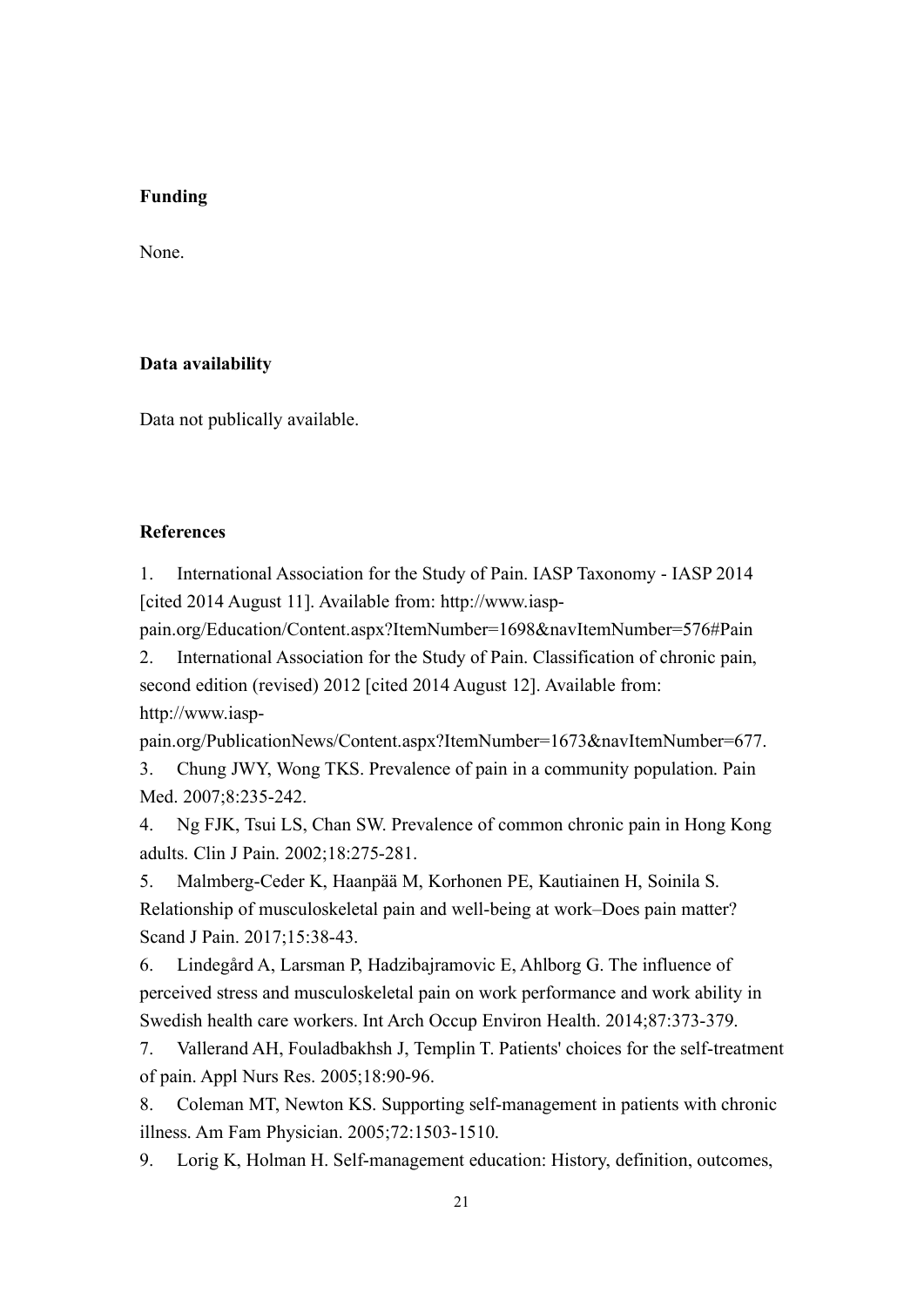# **Funding**

None.

# **Data availability**

Data not publically available.

## **References**

1. International Association for the Study of Pain. IASP Taxonomy - IASP 2014 [cited 2014 August 11]. Available from: http://www.iasp-

pain.org/Education/Content.aspx?ItemNumber=1698&navItemNumber=576#Pain

2. International Association for the Study of Pain. Classification of chronic pain, second edition (revised) 2012 [cited 2014 August 12]. Available from: http://www.iasp-

pain.org/PublicationNews/Content.aspx?ItemNumber=1673&navItemNumber=677.

3. Chung JWY, Wong TKS. Prevalence of pain in a community population. Pain Med. 2007;8:235-242.

4. Ng FJK, Tsui LS, Chan SW. Prevalence of common chronic pain in Hong Kong adults. Clin J Pain. 2002;18:275-281.

5. Malmberg-Ceder K, Haanpää M, Korhonen PE, Kautiainen H, Soinila S. Relationship of musculoskeletal pain and well-being at work–Does pain matter? Scand J Pain. 2017;15:38-43.

6. Lindegård A, Larsman P, Hadzibajramovic E, Ahlborg G. The influence of perceived stress and musculoskeletal pain on work performance and work ability in Swedish health care workers. Int Arch Occup Environ Health. 2014;87:373-379.

7. Vallerand AH, Fouladbakhsh J, Templin T. Patients' choices for the self-treatment of pain. Appl Nurs Res. 2005;18:90-96.

8. Coleman MT, Newton KS. Supporting self-management in patients with chronic illness. Am Fam Physician. 2005;72:1503-1510.

9. Lorig K, Holman H. Self-management education: History, definition, outcomes,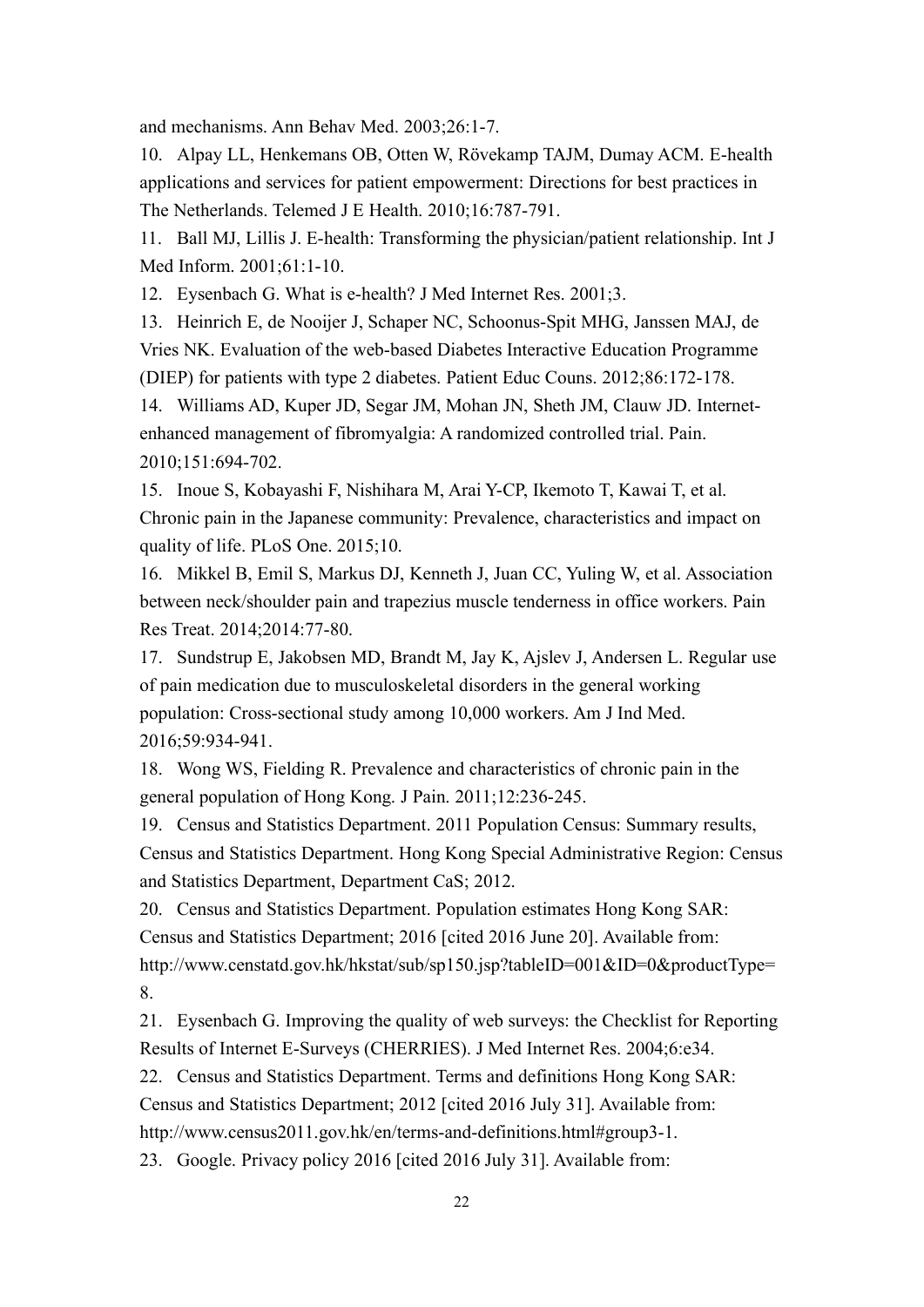and mechanisms. Ann Behav Med. 2003;26:1-7.

10. Alpay LL, Henkemans OB, Otten W, Rövekamp TAJM, Dumay ACM. E-health applications and services for patient empowerment: Directions for best practices in The Netherlands. Telemed J E Health. 2010;16:787-791.

11. Ball MJ, Lillis J. E-health: Transforming the physician/patient relationship. Int J Med Inform. 2001;61:1-10.

12. Eysenbach G. What is e-health? J Med Internet Res. 2001;3.

13. Heinrich E, de Nooijer J, Schaper NC, Schoonus-Spit MHG, Janssen MAJ, de Vries NK. Evaluation of the web-based Diabetes Interactive Education Programme (DIEP) for patients with type 2 diabetes. Patient Educ Couns. 2012;86:172-178.

14. Williams AD, Kuper JD, Segar JM, Mohan JN, Sheth JM, Clauw JD. Internetenhanced management of fibromyalgia: A randomized controlled trial. Pain. 2010;151:694-702.

15. Inoue S, Kobayashi F, Nishihara M, Arai Y-CP, Ikemoto T, Kawai T, et al. Chronic pain in the Japanese community: Prevalence, characteristics and impact on quality of life. PLoS One. 2015;10.

16. Mikkel B, Emil S, Markus DJ, Kenneth J, Juan CC, Yuling W, et al. Association between neck/shoulder pain and trapezius muscle tenderness in office workers. Pain Res Treat. 2014;2014:77-80.

17. Sundstrup E, Jakobsen MD, Brandt M, Jay K, Ajslev J, Andersen L. Regular use of pain medication due to musculoskeletal disorders in the general working population: Cross-sectional study among 10,000 workers. Am J Ind Med. 2016;59:934-941.

18. Wong WS, Fielding R. Prevalence and characteristics of chronic pain in the general population of Hong Kong. J Pain. 2011;12:236-245.

19. Census and Statistics Department. 2011 Population Census: Summary results, Census and Statistics Department. Hong Kong Special Administrative Region: Census and Statistics Department, Department CaS; 2012.

20. Census and Statistics Department. Population estimates Hong Kong SAR: Census and Statistics Department; 2016 [cited 2016 June 20]. Available from: http://www.censtatd.gov.hk/hkstat/sub/sp150.jsp?tableID=001&ID=0&productType= 8.

21. Eysenbach G. Improving the quality of web surveys: the Checklist for Reporting Results of Internet E-Surveys (CHERRIES). J Med Internet Res. 2004;6:e34.

22. Census and Statistics Department. Terms and definitions Hong Kong SAR:

Census and Statistics Department; 2012 [cited 2016 July 31]. Available from:

http://www.census2011.gov.hk/en/terms-and-definitions.html#group3-1.

23. Google. Privacy policy 2016 [cited 2016 July 31]. Available from: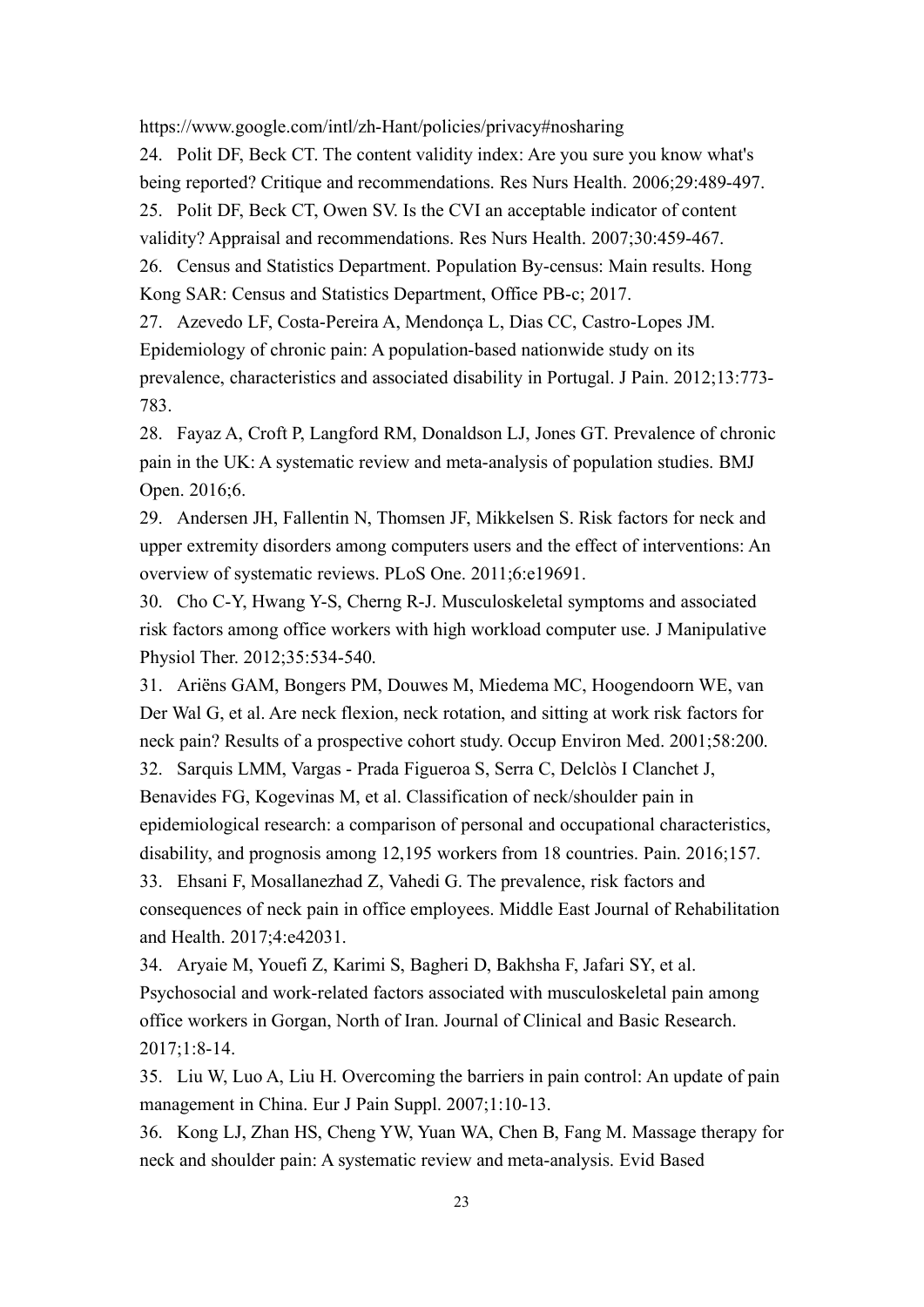https://www.google.com/intl/zh-Hant/policies/privacy#nosharing

24. Polit DF, Beck CT. The content validity index: Are you sure you know what's being reported? Critique and recommendations. Res Nurs Health. 2006;29:489-497. 25. Polit DF, Beck CT, Owen SV. Is the CVI an acceptable indicator of content validity? Appraisal and recommendations. Res Nurs Health. 2007;30:459-467. 26. Census and Statistics Department. Population By-census: Main results. Hong Kong SAR: Census and Statistics Department, Office PB-c; 2017.

27. Azevedo LF, Costa-Pereira A, Mendonça L, Dias CC, Castro-Lopes JM. Epidemiology of chronic pain: A population-based nationwide study on its prevalence, characteristics and associated disability in Portugal. J Pain. 2012;13:773- 783.

28. Fayaz A, Croft P, Langford RM, Donaldson LJ, Jones GT. Prevalence of chronic pain in the UK: A systematic review and meta-analysis of population studies. BMJ Open. 2016;6.

29. Andersen JH, Fallentin N, Thomsen JF, Mikkelsen S. Risk factors for neck and upper extremity disorders among computers users and the effect of interventions: An overview of systematic reviews. PLoS One. 2011;6:e19691.

30. Cho C-Y, Hwang Y-S, Cherng R-J. Musculoskeletal symptoms and associated risk factors among office workers with high workload computer use. J Manipulative Physiol Ther. 2012;35:534-540.

31. Ariëns GAM, Bongers PM, Douwes M, Miedema MC, Hoogendoorn WE, van Der Wal G, et al. Are neck flexion, neck rotation, and sitting at work risk factors for neck pain? Results of a prospective cohort study. Occup Environ Med. 2001;58:200.

32. Sarquis LMM, Vargas - Prada Figueroa S, Serra C, Delclòs I Clanchet J, Benavides FG, Kogevinas M, et al. Classification of neck/shoulder pain in epidemiological research: a comparison of personal and occupational characteristics, disability, and prognosis among 12,195 workers from 18 countries. Pain. 2016;157. 33. Ehsani F, Mosallanezhad Z, Vahedi G. The prevalence, risk factors and consequences of neck pain in office employees. Middle East Journal of Rehabilitation

and Health. 2017;4:e42031.

34. Aryaie M, Youefi Z, Karimi S, Bagheri D, Bakhsha F, Jafari SY, et al. Psychosocial and work-related factors associated with musculoskeletal pain among office workers in Gorgan, North of Iran. Journal of Clinical and Basic Research. 2017;1:8-14.

35. Liu W, Luo A, Liu H. Overcoming the barriers in pain control: An update of pain management in China. Eur J Pain Suppl. 2007;1:10-13.

36. Kong LJ, Zhan HS, Cheng YW, Yuan WA, Chen B, Fang M. Massage therapy for neck and shoulder pain: A systematic review and meta-analysis. Evid Based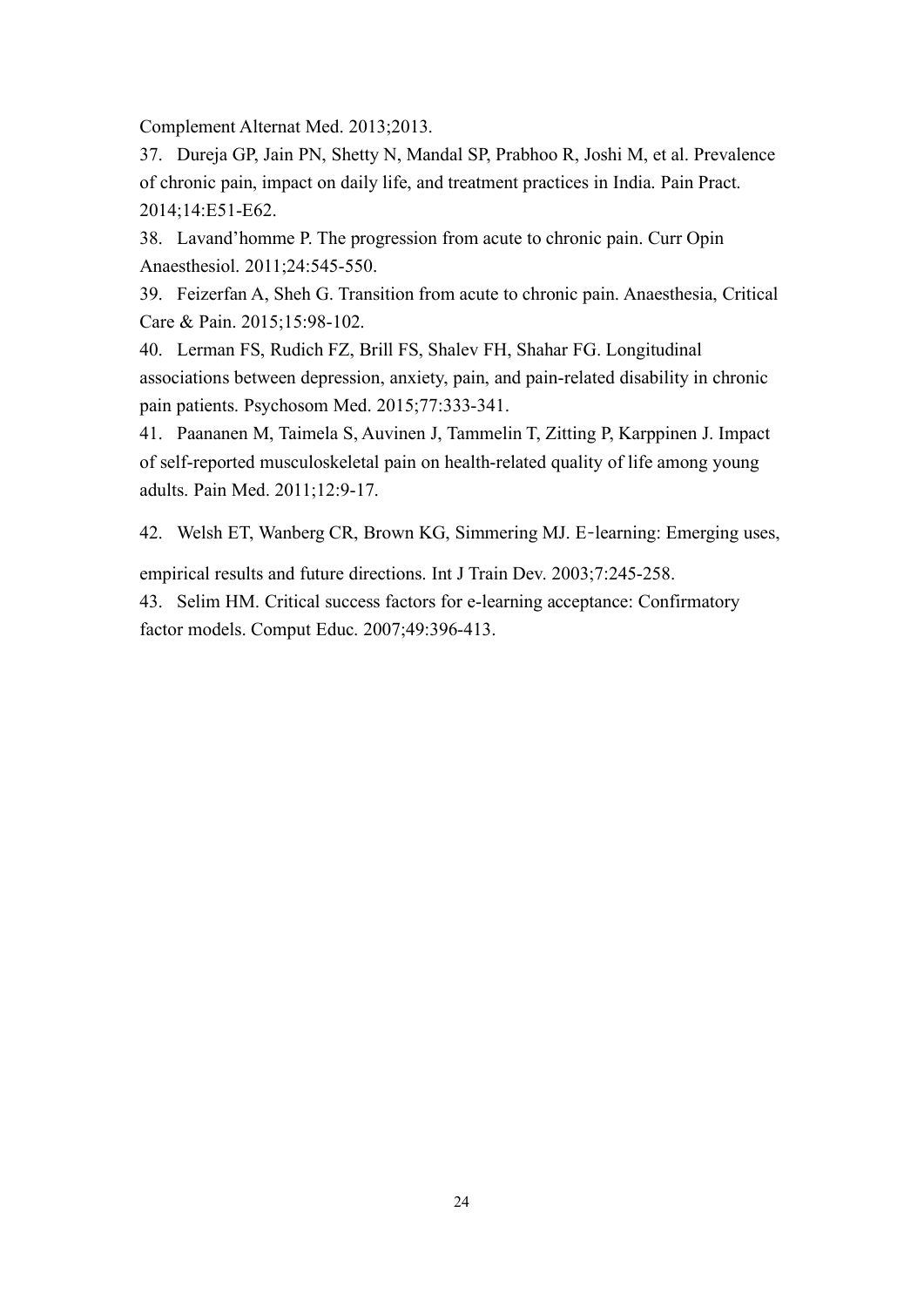Complement Alternat Med. 2013;2013.

37. Dureja GP, Jain PN, Shetty N, Mandal SP, Prabhoo R, Joshi M, et al. Prevalence of chronic pain, impact on daily life, and treatment practices in India. Pain Pract. 2014;14:E51-E62.

38. Lavand'homme P. The progression from acute to chronic pain. Curr Opin Anaesthesiol. 2011;24:545-550.

39. Feizerfan A, Sheh G. Transition from acute to chronic pain. Anaesthesia, Critical Care & Pain. 2015;15:98-102.

40. Lerman FS, Rudich FZ, Brill FS, Shalev FH, Shahar FG. Longitudinal associations between depression, anxiety, pain, and pain-related disability in chronic pain patients. Psychosom Med. 2015;77:333-341.

41. Paananen M, Taimela S, Auvinen J, Tammelin T, Zitting P, Karppinen J. Impact of self-reported musculoskeletal pain on health-related quality of life among young adults. Pain Med. 2011;12:9-17.

42. Welsh ET, Wanberg CR, Brown KG, Simmering MJ. E-learning: Emerging uses,

empirical results and future directions. Int J Train Dev. 2003;7:245-258.

43. Selim HM. Critical success factors for e-learning acceptance: Confirmatory factor models. Comput Educ. 2007;49:396-413.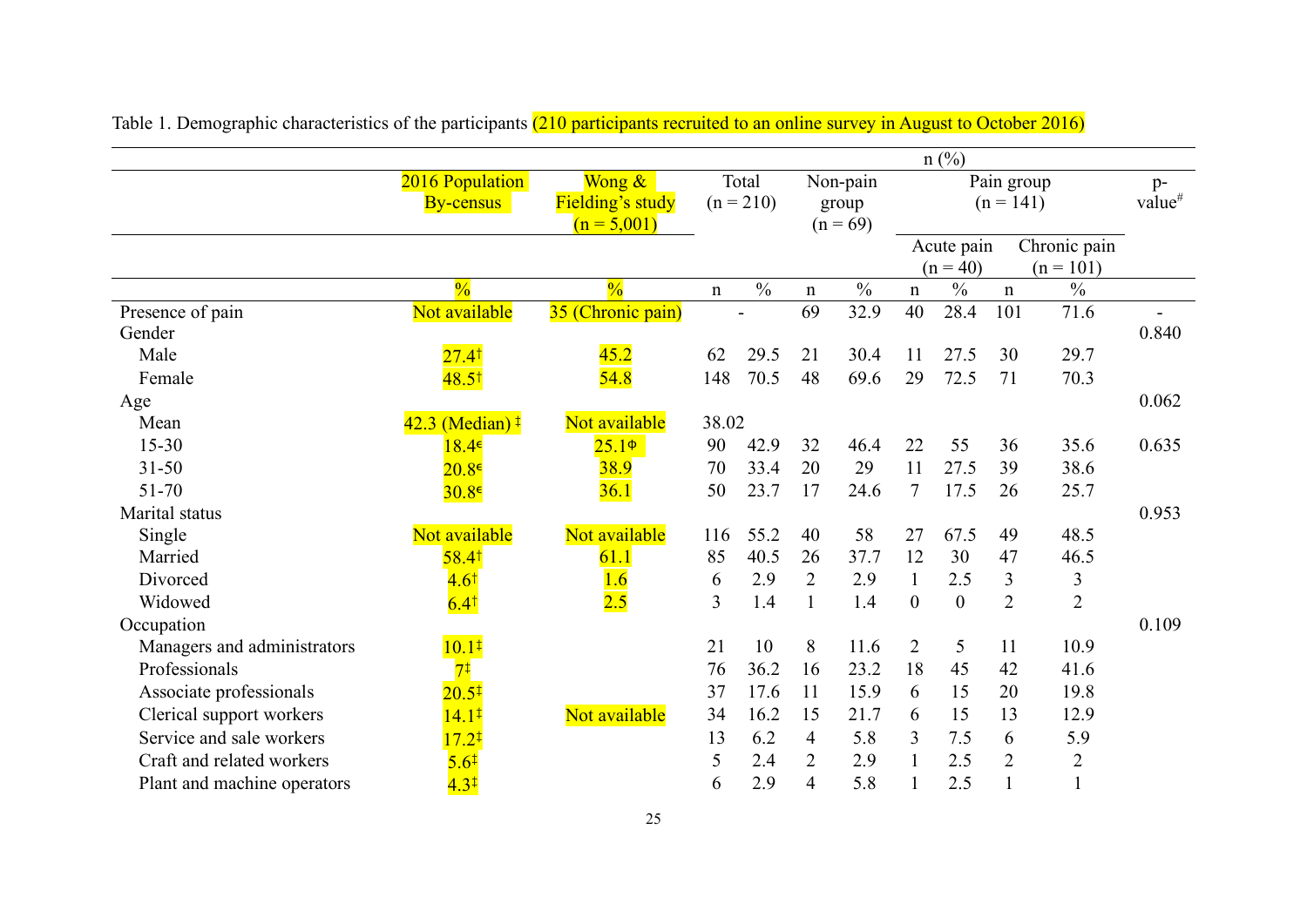|                             |                                                  |                                   |                                    |               |                |               |                  | $n(^{0}/_{0})$   |                |                |                            |
|-----------------------------|--------------------------------------------------|-----------------------------------|------------------------------------|---------------|----------------|---------------|------------------|------------------|----------------|----------------|----------------------------|
|                             | 2016 Population                                  | Wong &                            |                                    | Total         |                | Non-pain      |                  |                  | Pain group     |                | $p-$<br>value <sup>#</sup> |
|                             | <b>By-census</b>                                 | Fielding's study<br>$(n = 5,001)$ | $(n = 210)$<br>group<br>$(n = 69)$ |               |                | $(n = 141)$   |                  |                  |                |                |                            |
|                             |                                                  |                                   |                                    |               |                |               |                  | Acute pain       |                | Chronic pain   |                            |
|                             |                                                  |                                   |                                    |               |                |               |                  | $(n = 40)$       |                | $(n = 101)$    |                            |
|                             | $\frac{0}{6}$                                    | $\frac{0}{0}$                     | $\mathbf n$                        | $\frac{0}{0}$ | $\mathbf n$    | $\frac{0}{0}$ | $\mathbf n$      | $\frac{0}{0}$    | $\mathbf n$    | $\frac{0}{0}$  |                            |
| Presence of pain            | Not available                                    | 35 (Chronic pain)                 |                                    |               | 69             | 32.9          | 40               | 28.4             | 101            | 71.6           |                            |
| Gender                      |                                                  |                                   |                                    |               |                |               |                  |                  |                |                | 0.840                      |
| Male                        | 27.4 <sup>†</sup>                                | 45.2                              | 62                                 | 29.5          | 21             | 30.4          | 11               | 27.5             | 30             | 29.7           |                            |
| Female                      | $48.5^{\dagger}$                                 | 54.8                              | 148                                | 70.5          | 48             | 69.6          | 29               | 72.5             | 71             | 70.3           |                            |
| Age                         |                                                  |                                   |                                    |               |                |               |                  |                  |                |                | 0.062                      |
| Mean                        | $42.3$ (Median) <sup><math>\ddagger</math></sup> | Not available                     | 38.02                              |               |                |               |                  |                  |                |                |                            |
| $15 - 30$                   | 18.46                                            | 25.1 <sup>°</sup>                 | 90                                 | 42.9          | 32             | 46.4          | 22               | 55               | 36             | 35.6           | 0.635                      |
| $31 - 50$                   | 20.86                                            | <b>38.9</b>                       | 70                                 | 33.4          | 20             | 29            | 11               | 27.5             | 39             | 38.6           |                            |
| 51-70                       | 30.86                                            | 36.1                              | 50                                 | 23.7          | 17             | 24.6          | $\tau$           | 17.5             | 26             | 25.7           |                            |
| Marital status              |                                                  |                                   |                                    |               |                |               |                  |                  |                |                | 0.953                      |
| Single                      | Not available                                    | Not available                     | 116                                | 55.2          | 40             | 58            | 27               | 67.5             | 49             | 48.5           |                            |
| Married                     | 58.4 <sup>†</sup>                                | 61.1                              | 85                                 | 40.5          | 26             | 37.7          | 12               | 30               | 47             | 46.5           |                            |
| Divorced                    | $4.6^{\dagger}$                                  | 1.6                               | 6                                  | 2.9           | $\overline{2}$ | 2.9           | $\mathbf{1}$     | 2.5              | 3              | $\mathfrak{Z}$ |                            |
| Widowed                     | 6.4 <sup>†</sup>                                 | 2.5                               | 3                                  | 1.4           | $\mathbf{1}$   | 1.4           | $\boldsymbol{0}$ | $\boldsymbol{0}$ | $\overline{2}$ | $\overline{2}$ |                            |
| Occupation                  |                                                  |                                   |                                    |               |                |               |                  |                  |                |                | 0.109                      |
| Managers and administrators | 10.1 <sup>‡</sup>                                |                                   | 21                                 | 10            | 8              | 11.6          | $\overline{2}$   | 5                | 11             | 10.9           |                            |
| Professionals               | 7 <sup>†</sup>                                   |                                   | 76                                 | 36.2          | 16             | 23.2          | 18               | 45               | 42             | 41.6           |                            |
| Associate professionals     | $20.5^{\ddagger}$                                |                                   | 37                                 | 17.6          | 11             | 15.9          | 6                | 15               | 20             | 19.8           |                            |
| Clerical support workers    | 14.1 <sup>‡</sup>                                | Not available                     | 34                                 | 16.2          | 15             | 21.7          | 6                | 15               | 13             | 12.9           |                            |
| Service and sale workers    | $17.2^{\ddagger}$                                |                                   | 13                                 | 6.2           | 4              | 5.8           | 3                | 7.5              | 6              | 5.9            |                            |
| Craft and related workers   | 5.6 <sup>‡</sup>                                 |                                   | 5                                  | 2.4           | 2              | 2.9           |                  | 2.5              | $\overline{2}$ | $\overline{2}$ |                            |
| Plant and machine operators | $4.3^{\ddagger}$                                 |                                   | 6                                  | 2.9           | 4              | 5.8           |                  | 2.5              | $\mathbf{1}$   |                |                            |

Table 1. Demographic characteristics of the participants (210 participants recruited to an online survey in August to October 2016)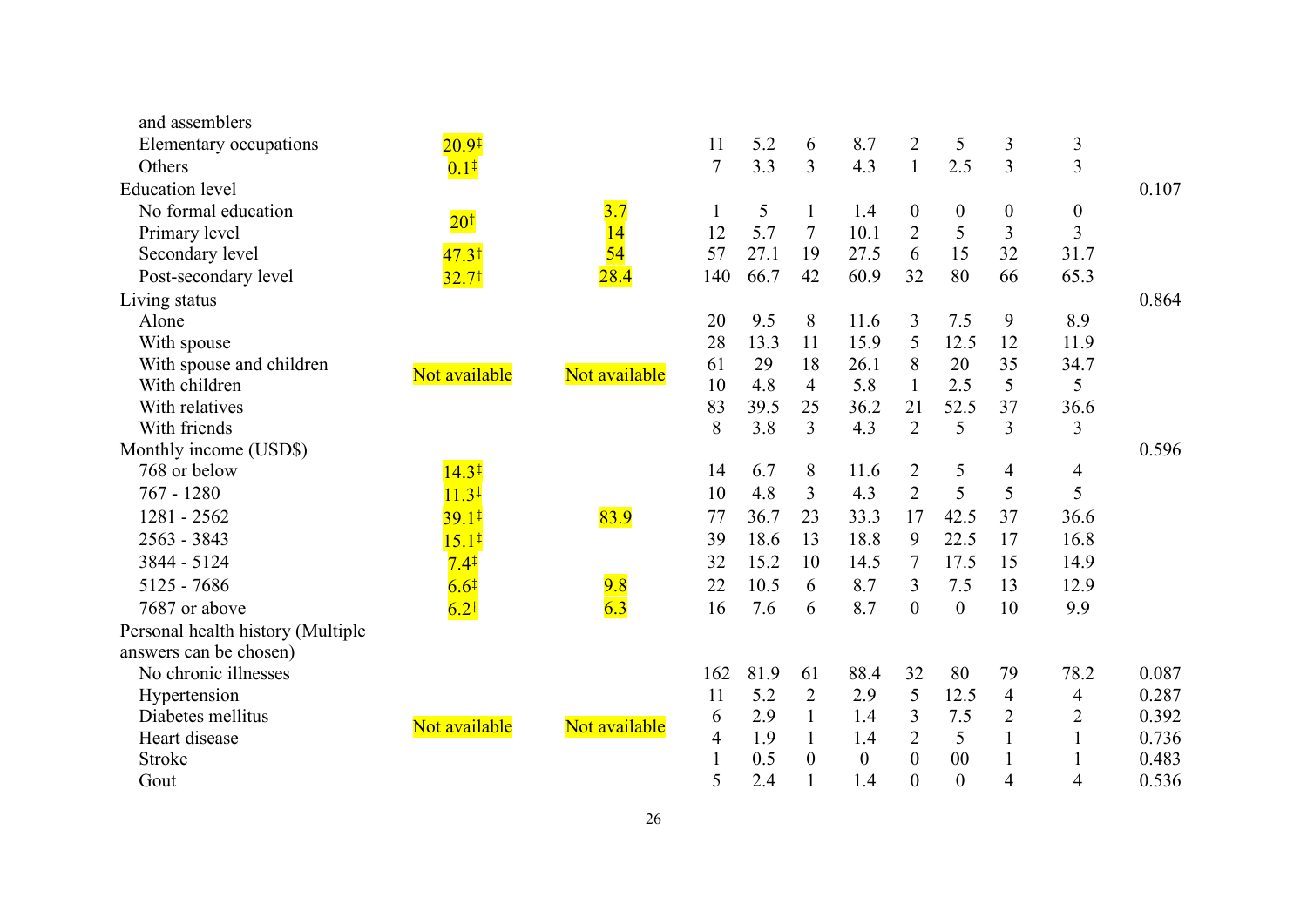| and assemblers                    |                   |               |                |      |                |                  |                  |                  |                  |                  |       |
|-----------------------------------|-------------------|---------------|----------------|------|----------------|------------------|------------------|------------------|------------------|------------------|-------|
| Elementary occupations            | 20.9 <sup>‡</sup> |               | 11             | 5.2  | 6              | 8.7              | $\overline{2}$   | 5                | 3                | 3                |       |
| Others                            | $0.1^{\ddagger}$  |               | $\tau$         | 3.3  | $\overline{3}$ | 4.3              | $\mathbf{1}$     | 2.5              | $\overline{3}$   | $\overline{3}$   |       |
| <b>Education</b> level            |                   |               |                |      |                |                  |                  |                  |                  |                  | 0.107 |
| No formal education               | 20 <sup>†</sup>   | 3.7           |                | 5    | $\mathbf{1}$   | 1.4              | $\boldsymbol{0}$ | $\boldsymbol{0}$ | $\boldsymbol{0}$ | $\boldsymbol{0}$ |       |
| Primary level                     |                   | 14            | 12             | 5.7  | $\tau$         | 10.1             | $\overline{2}$   | 5                | 3                | $\overline{3}$   |       |
| Secondary level                   | 47.3 <sup>†</sup> | 54            | 57             | 27.1 | 19             | 27.5             | 6                | 15               | 32               | 31.7             |       |
| Post-secondary level              | 32.7 <sup>†</sup> | 28.4          | 140            | 66.7 | 42             | 60.9             | 32               | 80               | 66               | 65.3             |       |
| Living status                     |                   |               |                |      |                |                  |                  |                  |                  |                  | 0.864 |
| Alone                             |                   |               | 20             | 9.5  | 8              | 11.6             | 3                | 7.5              | 9                | 8.9              |       |
| With spouse                       |                   |               | 28             | 13.3 | 11             | 15.9             | 5                | 12.5             | 12               | 11.9             |       |
| With spouse and children          | Not available     | Not available | 61             | 29   | 18             | 26.1             | 8                | 20               | 35               | 34.7             |       |
| With children                     |                   |               | 10             | 4.8  | $\overline{4}$ | 5.8              | $\mathbf{1}$     | 2.5              | 5                | 5                |       |
| With relatives                    |                   |               | 83             | 39.5 | 25             | 36.2             | 21               | 52.5             | 37               | 36.6             |       |
| With friends                      |                   |               | 8              | 3.8  | $\overline{3}$ | 4.3              | $\overline{2}$   | 5                | $\overline{3}$   | 3                |       |
| Monthly income (USD\$)            |                   |               |                |      |                |                  |                  |                  |                  |                  | 0.596 |
| 768 or below                      | $14.3^{\ddagger}$ |               | 14             | 6.7  | 8              | 11.6             | $\overline{2}$   | 5                | 4                | 4                |       |
| $767 - 1280$                      | 11.3 <sup>‡</sup> |               | 10             | 4.8  | 3              | 4.3              | $\overline{2}$   | 5                | 5                | 5                |       |
| 1281 - 2562                       | $39.1^{\ddagger}$ | 83.9          | 77             | 36.7 | 23             | 33.3             | 17               | 42.5             | 37               | 36.6             |       |
| 2563 - 3843                       | $15.1^{\ddagger}$ |               | 39             | 18.6 | 13             | 18.8             | 9                | 22.5             | 17               | 16.8             |       |
| 3844 - 5124                       | $7.4^{\ddagger}$  |               | 32             | 15.2 | 10             | 14.5             | $\tau$           | 17.5             | 15               | 14.9             |       |
| 5125 - 7686                       | 6.6 <sup>†</sup>  | 9.8           | 22             | 10.5 | 6              | 8.7              | 3                | 7.5              | 13               | 12.9             |       |
| 7687 or above                     | $6.2^{\ddagger}$  | 6.3           | 16             | 7.6  | 6              | 8.7              | $\overline{0}$   | $\theta$         | 10               | 9.9              |       |
| Personal health history (Multiple |                   |               |                |      |                |                  |                  |                  |                  |                  |       |
| answers can be chosen)            |                   |               |                |      |                |                  |                  |                  |                  |                  |       |
| No chronic illnesses              |                   |               | 162            | 81.9 | 61             | 88.4             | 32               | 80               | 79               | 78.2             | 0.087 |
| Hypertension                      |                   |               | 11             | 5.2  | $\overline{2}$ | 2.9              | 5                | 12.5             | $\overline{4}$   | 4                | 0.287 |
| Diabetes mellitus                 | Not available     | Not available | 6              | 2.9  | $\mathbf{1}$   | 1.4              | 3                | 7.5              | $\overline{2}$   | $\overline{2}$   | 0.392 |
| Heart disease                     |                   |               | $\overline{4}$ | 1.9  | $\mathbf{1}$   | 1.4              | $\overline{2}$   | 5                | $\mathbf{1}$     | 1                | 0.736 |
| <b>Stroke</b>                     |                   |               |                | 0.5  | $\overline{0}$ | $\boldsymbol{0}$ | $\boldsymbol{0}$ | 00               | $\mathbf{1}$     |                  | 0.483 |
| Gout                              |                   |               | 5              | 2.4  | $\mathbf{1}$   | 1.4              | $\mathbf{0}$     | $\theta$         | $\overline{4}$   | 4                | 0.536 |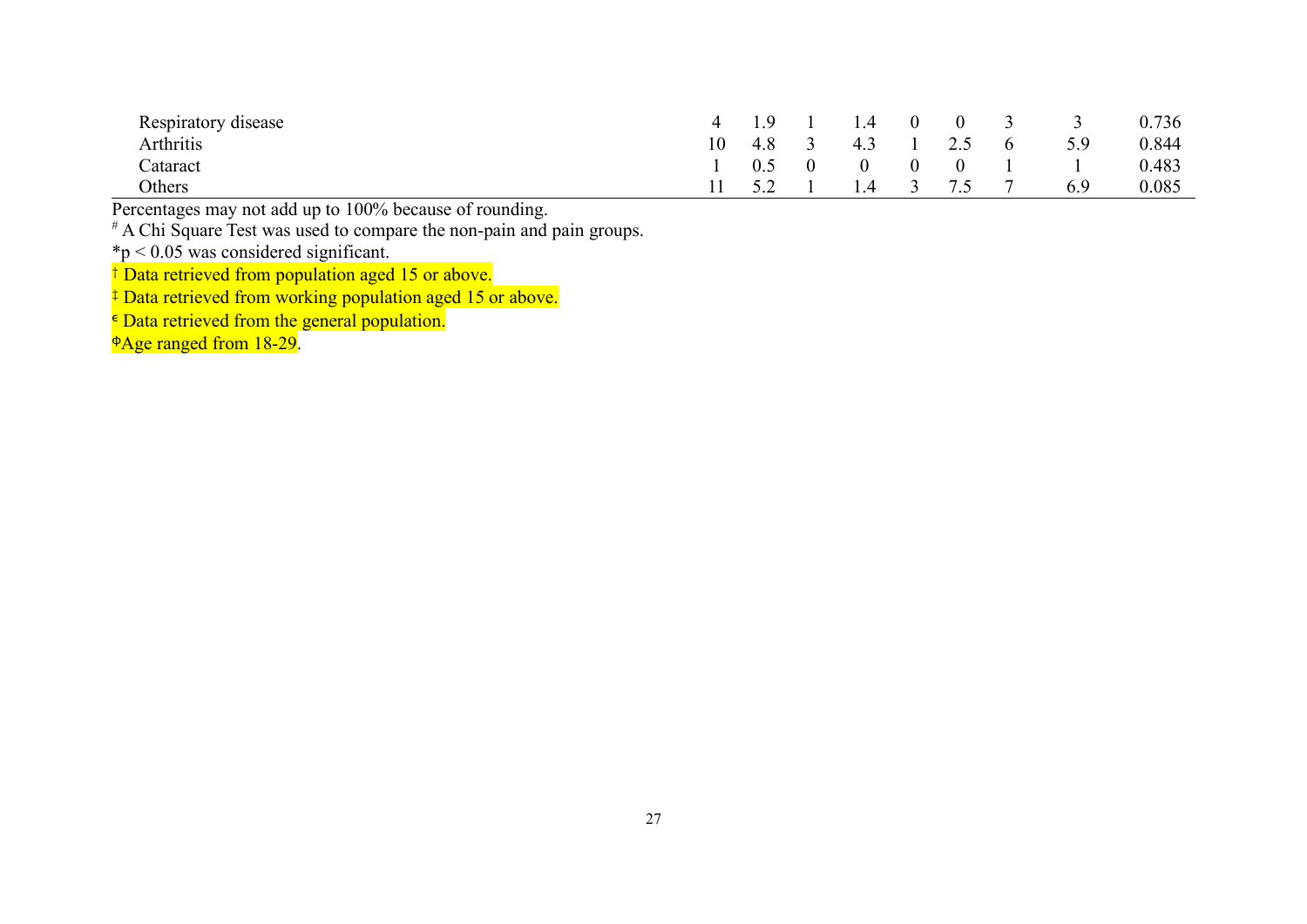| Respiratory<br>disease |    | 1.9   |                  | 1.4 | $\boldsymbol{0}$ | $\overline{0}$ |          |     | 0.736 |
|------------------------|----|-------|------------------|-----|------------------|----------------|----------|-----|-------|
| Arthritis              | 10 | 4.8   |                  | 4.3 |                  | 2.5            | $\sigma$ | 5.9 | 0.844 |
| Cataract               |    | 0.5   | $\boldsymbol{0}$ |     |                  | $\bf{0}$       |          |     | 0.483 |
| Others                 |    | ے ، ب |                  | 1.4 |                  | 7.5            |          | 6.9 | 0.085 |

Percentages may not add up to 100% because of rounding.

# A Chi Square Test was used to compare the non-pain and pain groups.

\*p < 0.05 was considered significant.

<sup>†</sup> Data retrieved from population aged 15 or above.

<sup>‡</sup> Data retrieved from working population aged 15 or above.

 $\epsilon$  Data retrieved from the general population.

**PAge ranged from 18-29.**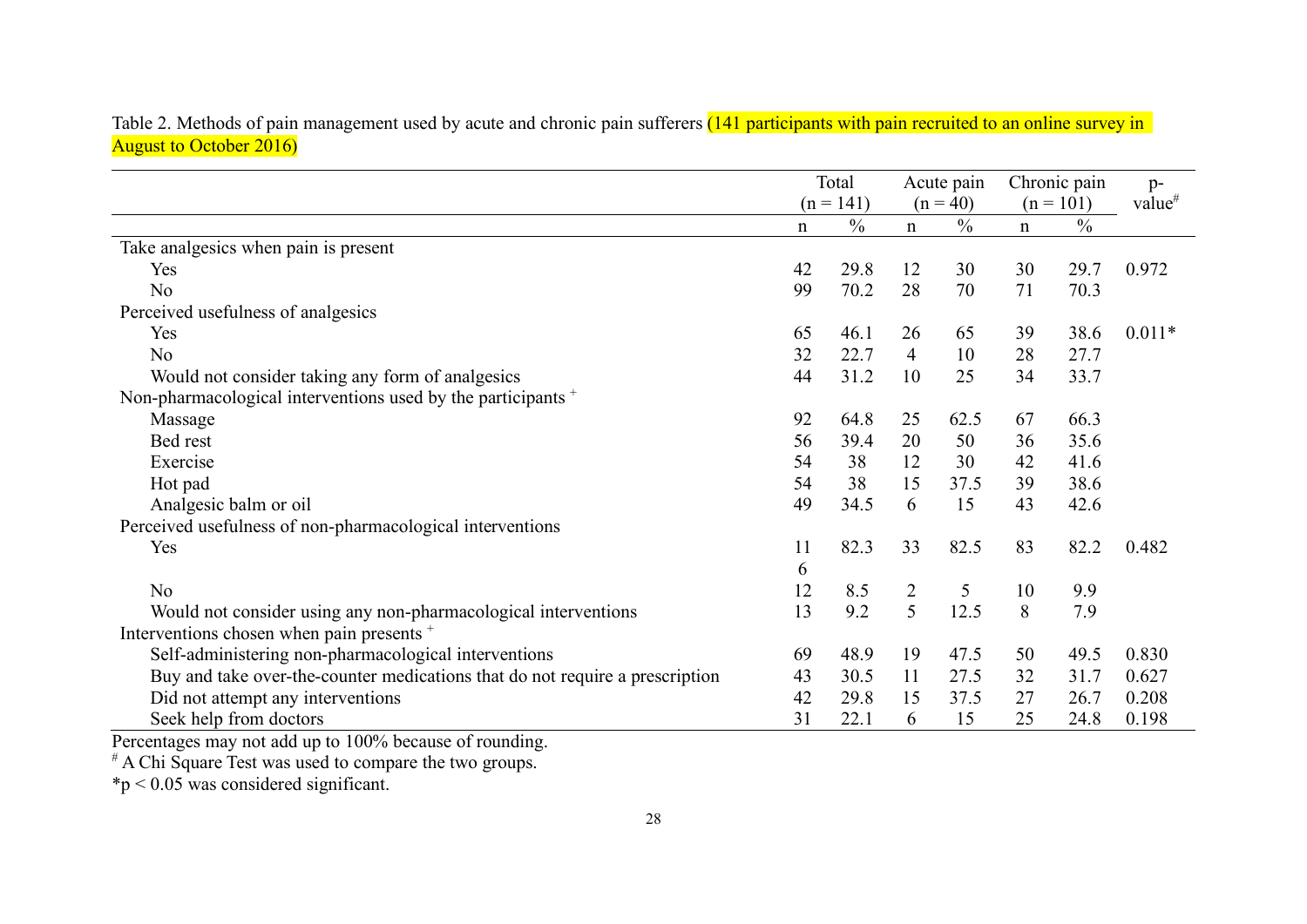|                                                                              |             | Total         |                | Acute pain    |             | Chronic pain  | $p-$               |
|------------------------------------------------------------------------------|-------------|---------------|----------------|---------------|-------------|---------------|--------------------|
|                                                                              | $(n = 141)$ |               | $(n = 40)$     |               | $(n = 101)$ |               | value <sup>#</sup> |
|                                                                              | n           | $\frac{0}{0}$ | $\mathbf n$    | $\frac{0}{0}$ | $\mathbf n$ | $\frac{0}{0}$ |                    |
| Take analgesics when pain is present                                         |             |               |                |               |             |               |                    |
| Yes                                                                          | 42          | 29.8          | 12             | 30            | 30          | 29.7          | 0.972              |
| N <sub>o</sub>                                                               | 99          | 70.2          | 28             | 70            | 71          | 70.3          |                    |
| Perceived usefulness of analgesics                                           |             |               |                |               |             |               |                    |
| Yes                                                                          | 65          | 46.1          | 26             | 65            | 39          | 38.6          | $0.011*$           |
| N <sub>o</sub>                                                               | 32          | 22.7          | 4              | 10            | 28          | 27.7          |                    |
| Would not consider taking any form of analgesics                             | 44          | 31.2          | 10             | 25            | 34          | 33.7          |                    |
| Non-pharmacological interventions used by the participants +                 |             |               |                |               |             |               |                    |
| Massage                                                                      | 92          | 64.8          | 25             | 62.5          | 67          | 66.3          |                    |
| Bed rest                                                                     | 56          | 39.4          | 20             | 50            | 36          | 35.6          |                    |
| Exercise                                                                     | 54          | 38            | 12             | 30            | 42          | 41.6          |                    |
| Hot pad                                                                      | 54          | 38            | 15             | 37.5          | 39          | 38.6          |                    |
| Analgesic balm or oil                                                        | 49          | 34.5          | 6              | 15            | 43          | 42.6          |                    |
| Perceived usefulness of non-pharmacological interventions                    |             |               |                |               |             |               |                    |
| Yes                                                                          | 11          | 82.3          | 33             | 82.5          | 83          | 82.2          | 0.482              |
|                                                                              | 6           |               |                |               |             |               |                    |
| N <sub>o</sub>                                                               | 12          | 8.5           | $\overline{2}$ | 5             | 10          | 9.9           |                    |
| Would not consider using any non-pharmacological interventions               | 13          | 9.2           | 5              | 12.5          | 8           | 7.9           |                    |
| Interventions chosen when pain presents +                                    |             |               |                |               |             |               |                    |
| Self-administering non-pharmacological interventions                         | 69          | 48.9          | 19             | 47.5          | 50          | 49.5          | 0.830              |
| Buy and take over-the-counter medications that do not require a prescription | 43          | 30.5          | 11             | 27.5          | 32          | 31.7          | 0.627              |
| Did not attempt any interventions                                            | 42          | 29.8          | 15             | 37.5          | 27          | 26.7          | 0.208              |
| Seek help from doctors                                                       | 31          | 22.1          | 6              | 15            | 25          | 24.8          | 0.198              |

Table 2. Methods of pain management used by acute and chronic pain sufferers (141 participants with pain recruited to an online survey in August to October 2016)

Percentages may not add up to 100% because of rounding.

# A Chi Square Test was used to compare the two groups.

 $*p < 0.05$  was considered significant.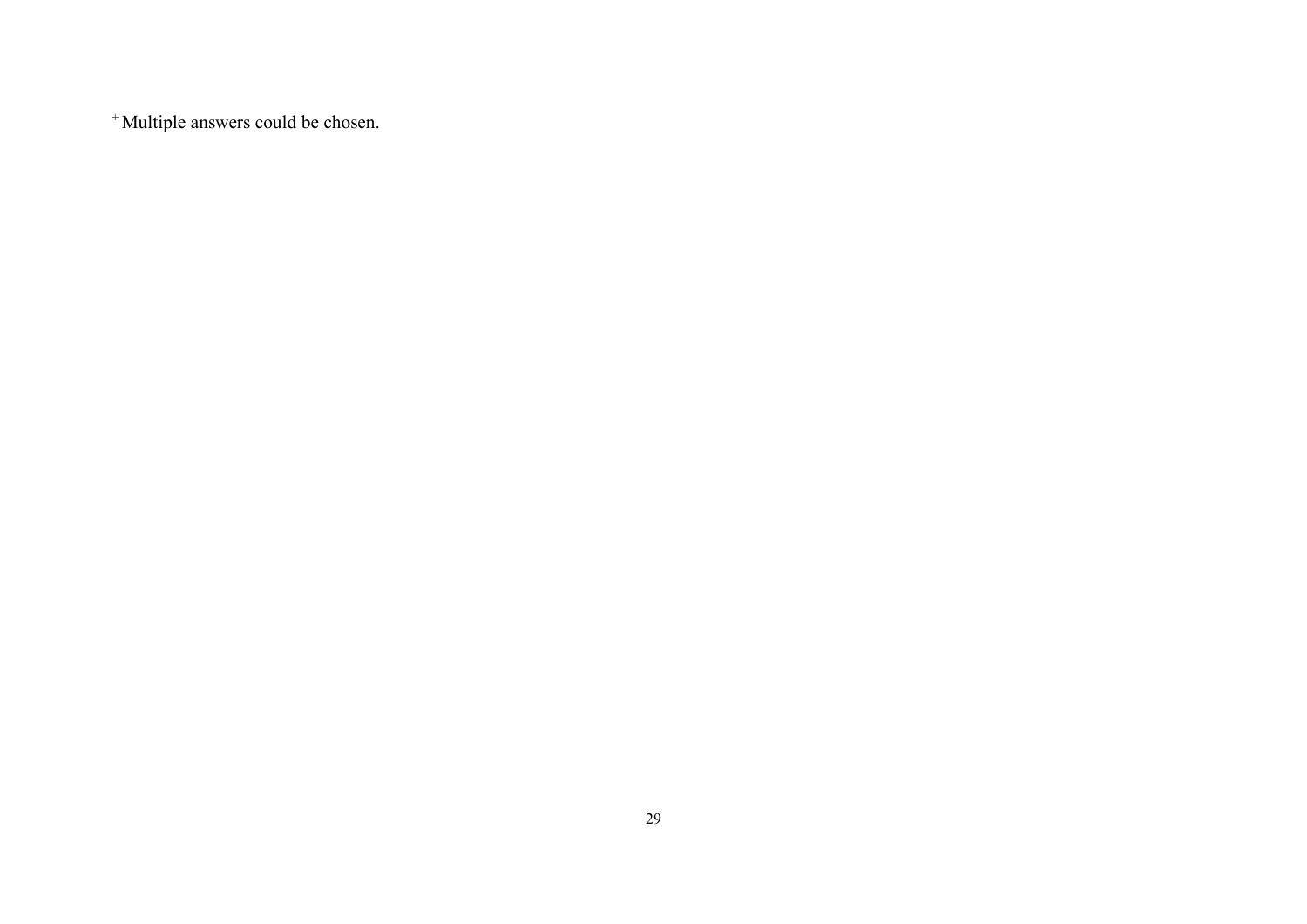+ Multiple answers could be chosen.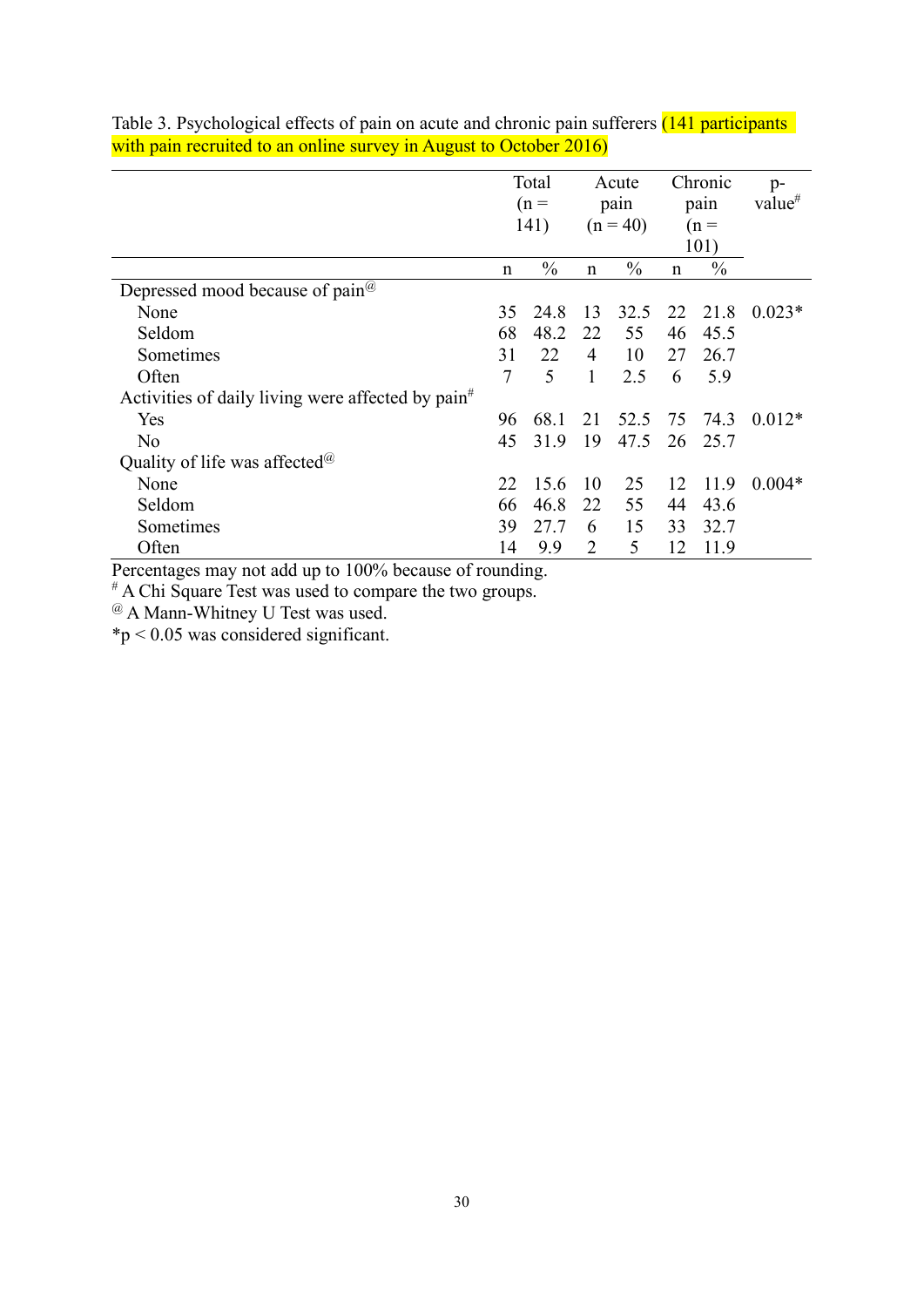|                                                                |             | Total         |                | Acute         | Chronic     |               | $p-$               |
|----------------------------------------------------------------|-------------|---------------|----------------|---------------|-------------|---------------|--------------------|
|                                                                | $(n =$      |               |                | pain          |             | pain          | value <sup>#</sup> |
|                                                                | 141)        |               |                | $(n = 40)$    | $(n =$      |               |                    |
|                                                                |             |               |                |               | 101)        |               |                    |
|                                                                | $\mathbf n$ | $\frac{0}{0}$ | $\mathbf n$    | $\frac{0}{0}$ | $\mathbf n$ | $\frac{0}{0}$ |                    |
| Depressed mood because of $\text{pain}^{@}$                    |             |               |                |               |             |               |                    |
| None                                                           | 35          | 24.8          | 13             | 32.5          | 22          | 21.8          | $0.023*$           |
| Seldom                                                         | 68          | 48.2          | 22             | 55            | 46          | 45.5          |                    |
| Sometimes                                                      | 31          | 22            | 4              | 10            | 27          | 26.7          |                    |
| Often                                                          | 7           | 5             | 1              | 2.5           | 6           | 5.9           |                    |
| Activities of daily living were affected by $\text{pair}^{\#}$ |             |               |                |               |             |               |                    |
| Yes                                                            | 96          | 68.1          | 21             | 52.5          | 75          | 74.3          | $0.012*$           |
| No                                                             | 45          | 31.9          | 19             | 47.5          | 26          | 25.7          |                    |
| Quality of life was affected $\omega$                          |             |               |                |               |             |               |                    |
| None                                                           | 22          | 15.6          | 10             | 25            | 12          | 11.9          | $0.004*$           |
| Seldom                                                         | 66          | 46.8          | 22             | 55            | 44          | 43.6          |                    |
| Sometimes                                                      | 39          | 27.7          | 6              | 15            | 33          | 32.7          |                    |
| Often                                                          | 14          | 9.9           | $\mathfrak{D}$ | 5             | 12          | 11.9          |                    |

Table 3. Psychological effects of pain on acute and chronic pain sufferers (141 participants with pain recruited to an online survey in August to October 2016)

Percentages may not add up to 100% because of rounding.

# A Chi Square Test was used to compare the two groups.

 $^{\textregistered}$  A Mann-Whitney U Test was used.

 $*$ p < 0.05 was considered significant.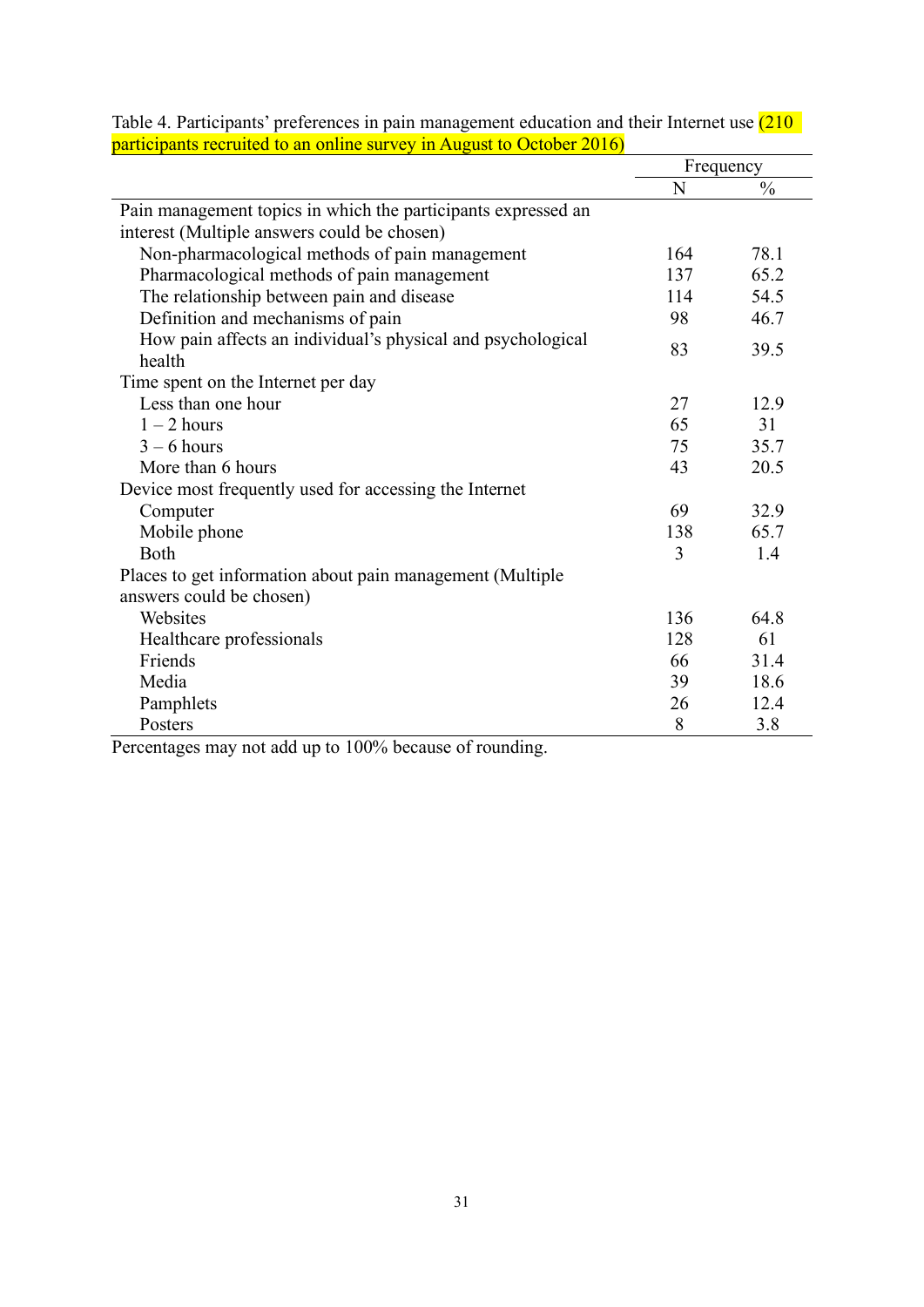|                                                               |     | Frequency     |
|---------------------------------------------------------------|-----|---------------|
|                                                               | N   | $\frac{0}{0}$ |
| Pain management topics in which the participants expressed an |     |               |
| interest (Multiple answers could be chosen)                   |     |               |
| Non-pharmacological methods of pain management                | 164 | 78.1          |
| Pharmacological methods of pain management                    | 137 | 65.2          |
| The relationship between pain and disease                     | 114 | 54.5          |
| Definition and mechanisms of pain                             | 98  | 46.7          |
| How pain affects an individual's physical and psychological   | 83  | 39.5          |
| health                                                        |     |               |
| Time spent on the Internet per day                            |     |               |
| Less than one hour                                            | 27  | 12.9          |
| $1 - 2$ hours                                                 | 65  | 31            |
| $3 - 6$ hours                                                 | 75  | 35.7          |
| More than 6 hours                                             | 43  | 20.5          |
| Device most frequently used for accessing the Internet        |     |               |
| Computer                                                      | 69  | 32.9          |
| Mobile phone                                                  | 138 | 65.7          |
| Both                                                          | 3   | 1.4           |
| Places to get information about pain management (Multiple     |     |               |
| answers could be chosen)                                      |     |               |
| Websites                                                      | 136 | 64.8          |
| Healthcare professionals                                      | 128 | 61            |
| Friends                                                       | 66  | 31.4          |
| Media                                                         | 39  | 18.6          |
| Pamphlets                                                     | 26  | 12.4          |
| Posters                                                       | 8   | 3.8           |

Table 4. Participants' preferences in pain management education and their Internet use (210 participants recruited to an online survey in August to October 2016)

Percentages may not add up to 100% because of rounding.